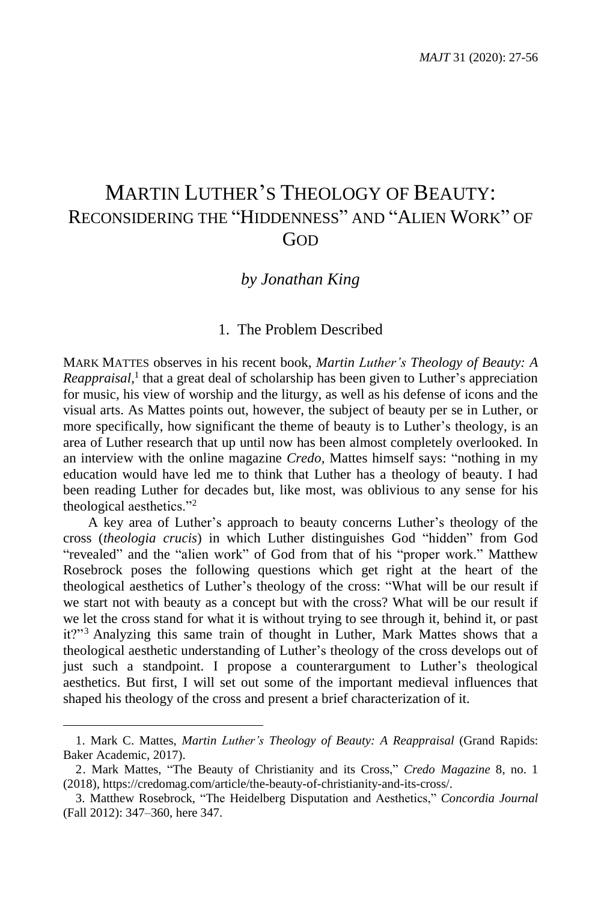# MARTIN LUTHER'S THEOLOGY OF BEAUTY: RECONSIDERING THE "HIDDENNESS" AND "ALIEN WORK" OF GOD

# *by Jonathan King*

### 1. The Problem Described

MARK MATTES observes in his recent book, *Martin Luther's Theology of Beauty: A* Reappraisal,<sup>1</sup> that a great deal of scholarship has been given to Luther's appreciation for music, his view of worship and the liturgy, as well as his defense of icons and the visual arts. As Mattes points out, however, the subject of beauty per se in Luther, or more specifically, how significant the theme of beauty is to Luther's theology, is an area of Luther research that up until now has been almost completely overlooked. In an interview with the online magazine *Credo,* Mattes himself says: "nothing in my education would have led me to think that Luther has a theology of beauty. I had been reading Luther for decades but, like most, was oblivious to any sense for his theological aesthetics."<sup>2</sup>

A key area of Luther's approach to beauty concerns Luther's theology of the cross (*theologia crucis*) in which Luther distinguishes God "hidden" from God "revealed" and the "alien work" of God from that of his "proper work." Matthew Rosebrock poses the following questions which get right at the heart of the theological aesthetics of Luther's theology of the cross: "What will be our result if we start not with beauty as a concept but with the cross? What will be our result if we let the cross stand for what it is without trying to see through it, behind it, or past it?"<sup>3</sup> Analyzing this same train of thought in Luther, Mark Mattes shows that a theological aesthetic understanding of Luther's theology of the cross develops out of just such a standpoint. I propose a counterargument to Luther's theological aesthetics. But first, I will set out some of the important medieval influences that shaped his theology of the cross and present a brief characterization of it.

<sup>1.</sup> Mark C. Mattes, *Martin Luther's Theology of Beauty: A Reappraisal* (Grand Rapids: Baker Academic, 2017).

<sup>2.</sup> Mark Mattes, "The Beauty of Christianity and its Cross," *Credo Magazine* 8, no. 1 (2018), https://credomag.com/article/the-beauty-of-christianity-and-its-cross/.

<sup>3.</sup> Matthew Rosebrock, "The Heidelberg Disputation and Aesthetics," *Concordia Journal* (Fall 2012): 347–360, here 347.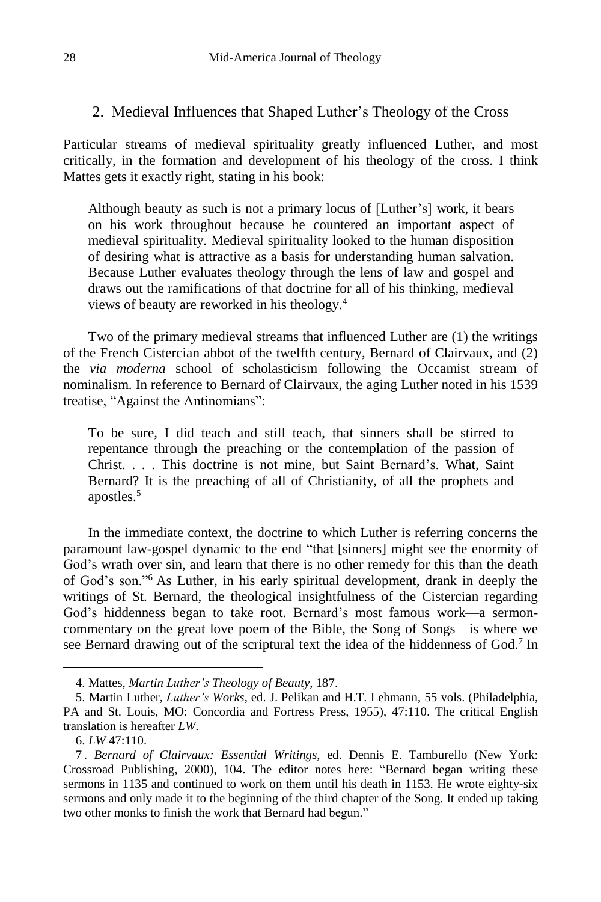### 2. Medieval Influences that Shaped Luther's Theology of the Cross

Particular streams of medieval spirituality greatly influenced Luther, and most critically, in the formation and development of his theology of the cross. I think Mattes gets it exactly right, stating in his book:

Although beauty as such is not a primary locus of [Luther's] work, it bears on his work throughout because he countered an important aspect of medieval spirituality. Medieval spirituality looked to the human disposition of desiring what is attractive as a basis for understanding human salvation. Because Luther evaluates theology through the lens of law and gospel and draws out the ramifications of that doctrine for all of his thinking, medieval views of beauty are reworked in his theology.<sup>4</sup>

Two of the primary medieval streams that influenced Luther are (1) the writings of the French Cistercian abbot of the twelfth century, Bernard of Clairvaux, and (2) the *via moderna* school of scholasticism following the Occamist stream of nominalism. In reference to Bernard of Clairvaux, the aging Luther noted in his 1539 treatise, "Against the Antinomians":

To be sure, I did teach and still teach, that sinners shall be stirred to repentance through the preaching or the contemplation of the passion of Christ. . . . This doctrine is not mine, but Saint Bernard's. What, Saint Bernard? It is the preaching of all of Christianity, of all the prophets and apostles.<sup>5</sup>

In the immediate context, the doctrine to which Luther is referring concerns the paramount law-gospel dynamic to the end "that [sinners] might see the enormity of God's wrath over sin, and learn that there is no other remedy for this than the death of God's son."<sup>6</sup> As Luther, in his early spiritual development, drank in deeply the writings of St. Bernard, the theological insightfulness of the Cistercian regarding God's hiddenness began to take root. Bernard's most famous work—a sermoncommentary on the great love poem of the Bible, the Song of Songs—is where we see Bernard drawing out of the scriptural text the idea of the hiddenness of God.<sup>7</sup> In

<sup>4.</sup> Mattes, *Martin Luther's Theology of Beauty*, 187.

<sup>5.</sup> Martin Luther, *Luther's Works*, ed. J. Pelikan and H.T. Lehmann, 55 vols. (Philadelphia, PA and St. Louis, MO: Concordia and Fortress Press, 1955), 47:110. The critical English translation is hereafter *LW*.

<sup>6.</sup> *LW* 47:110.

<sup>7</sup> . *Bernard of Clairvaux: Essential Writings*, ed. Dennis E. Tamburello (New York: Crossroad Publishing, 2000), 104. The editor notes here: "Bernard began writing these sermons in 1135 and continued to work on them until his death in 1153. He wrote eighty-six sermons and only made it to the beginning of the third chapter of the Song. It ended up taking two other monks to finish the work that Bernard had begun."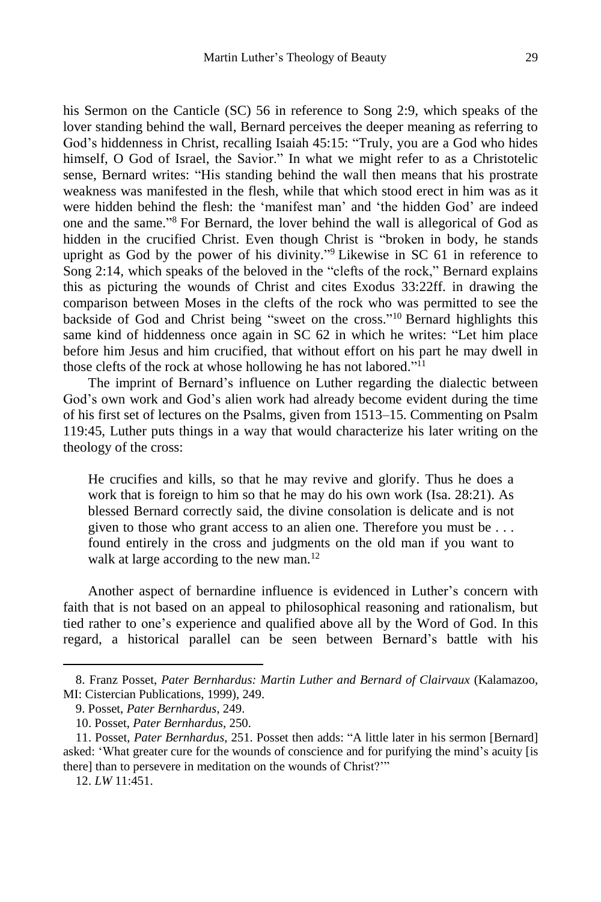his Sermon on the Canticle (SC) 56 in reference to Song 2:9, which speaks of the lover standing behind the wall, Bernard perceives the deeper meaning as referring to God's hiddenness in Christ, recalling Isaiah 45:15: "Truly, you are a God who hides himself, O God of Israel, the Savior." In what we might refer to as a Christotelic sense, Bernard writes: "His standing behind the wall then means that his prostrate weakness was manifested in the flesh, while that which stood erect in him was as it were hidden behind the flesh: the 'manifest man' and 'the hidden God' are indeed one and the same." <sup>8</sup> For Bernard, the lover behind the wall is allegorical of God as hidden in the crucified Christ. Even though Christ is "broken in body, he stands upright as God by the power of his divinity." <sup>9</sup> Likewise in SC 61 in reference to Song 2:14, which speaks of the beloved in the "clefts of the rock," Bernard explains this as picturing the wounds of Christ and cites Exodus 33:22ff. in drawing the comparison between Moses in the clefts of the rock who was permitted to see the backside of God and Christ being "sweet on the cross."<sup>10</sup> Bernard highlights this same kind of hiddenness once again in SC 62 in which he writes: "Let him place before him Jesus and him crucified, that without effort on his part he may dwell in those clefts of the rock at whose hollowing he has not labored."<sup>11</sup>

The imprint of Bernard's influence on Luther regarding the dialectic between God's own work and God's alien work had already become evident during the time of his first set of lectures on the Psalms, given from 1513–15. Commenting on Psalm 119:45, Luther puts things in a way that would characterize his later writing on the theology of the cross:

He crucifies and kills, so that he may revive and glorify. Thus he does a work that is foreign to him so that he may do his own work (Isa. 28:21). As blessed Bernard correctly said, the divine consolation is delicate and is not given to those who grant access to an alien one. Therefore you must be . . . found entirely in the cross and judgments on the old man if you want to walk at large according to the new man.<sup>12</sup>

Another aspect of bernardine influence is evidenced in Luther's concern with faith that is not based on an appeal to philosophical reasoning and rationalism, but tied rather to one's experience and qualified above all by the Word of God. In this regard, a historical parallel can be seen between Bernard's battle with his

<sup>8.</sup> Franz Posset, *Pater Bernhardus: Martin Luther and Bernard of Clairvaux* (Kalamazoo, MI: Cistercian Publications, 1999), 249.

<sup>9.</sup> Posset, *Pater Bernhardus*, 249.

<sup>10.</sup> Posset, *Pater Bernhardus*, 250.

<sup>11.</sup> Posset, *Pater Bernhardus*, 251. Posset then adds: "A little later in his sermon [Bernard] asked: 'What greater cure for the wounds of conscience and for purifying the mind's acuity [is there] than to persevere in meditation on the wounds of Christ?'"

<sup>12.</sup> *LW* 11:451.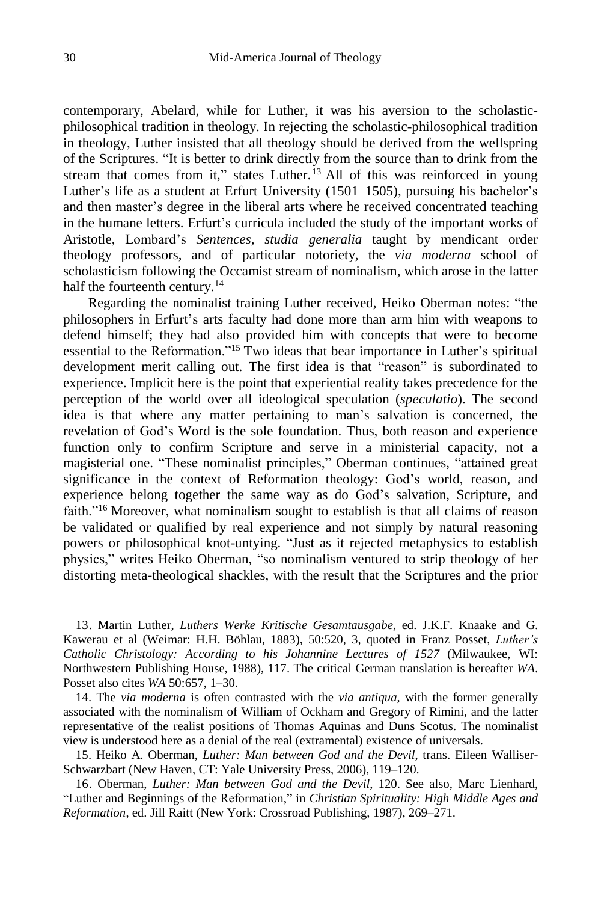contemporary, Abelard, while for Luther, it was his aversion to the scholasticphilosophical tradition in theology. In rejecting the scholastic-philosophical tradition in theology, Luther insisted that all theology should be derived from the wellspring of the Scriptures. "It is better to drink directly from the source than to drink from the stream that comes from it," states Luther.<sup>13</sup> All of this was reinforced in young Luther's life as a student at Erfurt University (1501–1505), pursuing his bachelor's and then master's degree in the liberal arts where he received concentrated teaching in the humane letters. Erfurt's curricula included the study of the important works of Aristotle, Lombard's *Sentences*, *studia generalia* taught by mendicant order theology professors, and of particular notoriety, the *via moderna* school of scholasticism following the Occamist stream of nominalism, which arose in the latter half the fourteenth century.<sup>14</sup>

Regarding the nominalist training Luther received, Heiko Oberman notes: "the philosophers in Erfurt's arts faculty had done more than arm him with weapons to defend himself; they had also provided him with concepts that were to become essential to the Reformation."<sup>15</sup> Two ideas that bear importance in Luther's spiritual development merit calling out. The first idea is that "reason" is subordinated to experience. Implicit here is the point that experiential reality takes precedence for the perception of the world over all ideological speculation (*speculatio*). The second idea is that where any matter pertaining to man's salvation is concerned, the revelation of God's Word is the sole foundation. Thus, both reason and experience function only to confirm Scripture and serve in a ministerial capacity, not a magisterial one. "These nominalist principles," Oberman continues, "attained great significance in the context of Reformation theology: God's world, reason, and experience belong together the same way as do God's salvation, Scripture, and faith."<sup>16</sup> Moreover, what nominalism sought to establish is that all claims of reason be validated or qualified by real experience and not simply by natural reasoning powers or philosophical knot-untying. "Just as it rejected metaphysics to establish physics," writes Heiko Oberman, "so nominalism ventured to strip theology of her distorting meta-theological shackles, with the result that the Scriptures and the prior

<sup>13.</sup> Martin Luther, *Luthers Werke Kritische Gesamtausgabe*, ed. J.K.F. Knaake and G. Kawerau et al (Weimar: H.H. Böhlau, 1883), 50:520, 3, quoted in Franz Posset, *Luther's Catholic Christology: According to his Johannine Lectures of 1527* (Milwaukee, WI: Northwestern Publishing House, 1988), 117. The critical German translation is hereafter *WA*. Posset also cites *WA* 50:657, 1–30.

<sup>14.</sup> The *via moderna* is often contrasted with the *via antiqua*, with the former generally associated with the nominalism of William of Ockham and Gregory of Rimini, and the latter representative of the realist positions of Thomas Aquinas and Duns Scotus. The nominalist view is understood here as a denial of the real (extramental) existence of universals.

<sup>15.</sup> Heiko A. Oberman, *Luther: Man between God and the Devil*, trans. Eileen Walliser-Schwarzbart (New Haven, CT: Yale University Press, 2006), 119–120.

<sup>16.</sup> Oberman, *Luther: Man between God and the Devil*, 120. See also, Marc Lienhard, "Luther and Beginnings of the Reformation," in *Christian Spirituality: High Middle Ages and Reformation*, ed. Jill Raitt (New York: Crossroad Publishing, 1987), 269–271.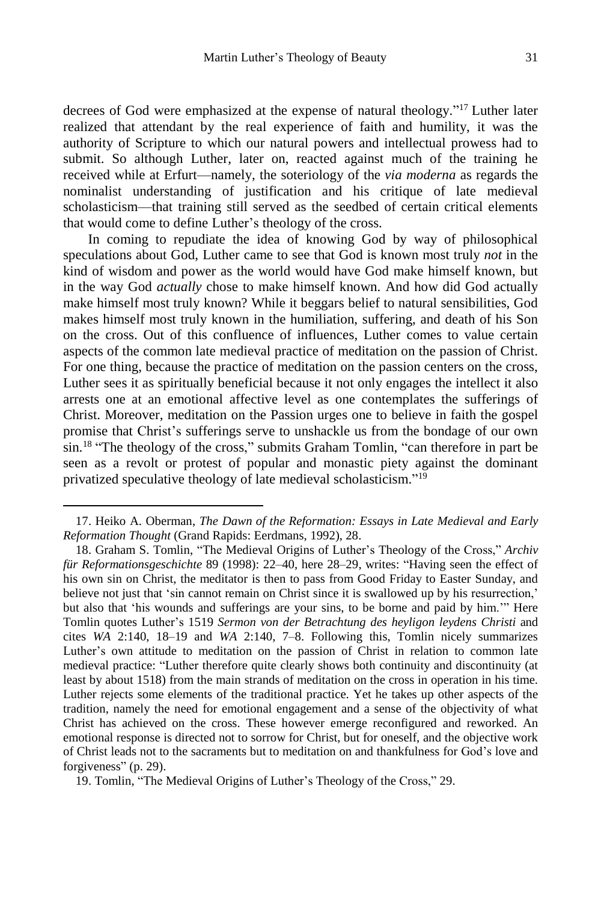decrees of God were emphasized at the expense of natural theology." <sup>17</sup> Luther later realized that attendant by the real experience of faith and humility, it was the authority of Scripture to which our natural powers and intellectual prowess had to submit. So although Luther, later on, reacted against much of the training he received while at Erfurt—namely, the soteriology of the *via moderna* as regards the nominalist understanding of justification and his critique of late medieval scholasticism—that training still served as the seedbed of certain critical elements that would come to define Luther's theology of the cross.

In coming to repudiate the idea of knowing God by way of philosophical speculations about God, Luther came to see that God is known most truly *not* in the kind of wisdom and power as the world would have God make himself known, but in the way God *actually* chose to make himself known. And how did God actually make himself most truly known? While it beggars belief to natural sensibilities, God makes himself most truly known in the humiliation, suffering, and death of his Son on the cross. Out of this confluence of influences, Luther comes to value certain aspects of the common late medieval practice of meditation on the passion of Christ. For one thing, because the practice of meditation on the passion centers on the cross, Luther sees it as spiritually beneficial because it not only engages the intellect it also arrests one at an emotional affective level as one contemplates the sufferings of Christ. Moreover, meditation on the Passion urges one to believe in faith the gospel promise that Christ's sufferings serve to unshackle us from the bondage of our own sin.<sup>18</sup> "The theology of the cross," submits Graham Tomlin, "can therefore in part be seen as a revolt or protest of popular and monastic piety against the dominant privatized speculative theology of late medieval scholasticism." 19

 $\overline{a}$ 

19. Tomlin, "The Medieval Origins of Luther's Theology of the Cross," 29.

<sup>17.</sup> Heiko A. Oberman, *The Dawn of the Reformation: Essays in Late Medieval and Early Reformation Thought* (Grand Rapids: Eerdmans, 1992), 28.

<sup>18.</sup> Graham S. Tomlin, "The Medieval Origins of Luther's Theology of the Cross," *Archiv für Reformationsgeschichte* 89 (1998): 22–40, here 28–29, writes: "Having seen the effect of his own sin on Christ, the meditator is then to pass from Good Friday to Easter Sunday, and believe not just that 'sin cannot remain on Christ since it is swallowed up by his resurrection,' but also that 'his wounds and sufferings are your sins, to be borne and paid by him.'" Here Tomlin quotes Luther's 1519 *Sermon von der Betrachtung des heyligon leydens Christi* and cites *WA* 2:140, 18–19 and *WA* 2:140, 7–8. Following this, Tomlin nicely summarizes Luther's own attitude to meditation on the passion of Christ in relation to common late medieval practice: "Luther therefore quite clearly shows both continuity and discontinuity (at least by about 1518) from the main strands of meditation on the cross in operation in his time. Luther rejects some elements of the traditional practice. Yet he takes up other aspects of the tradition, namely the need for emotional engagement and a sense of the objectivity of what Christ has achieved on the cross. These however emerge reconfigured and reworked. An emotional response is directed not to sorrow for Christ, but for oneself, and the objective work of Christ leads not to the sacraments but to meditation on and thankfulness for God's love and forgiveness" (p. 29).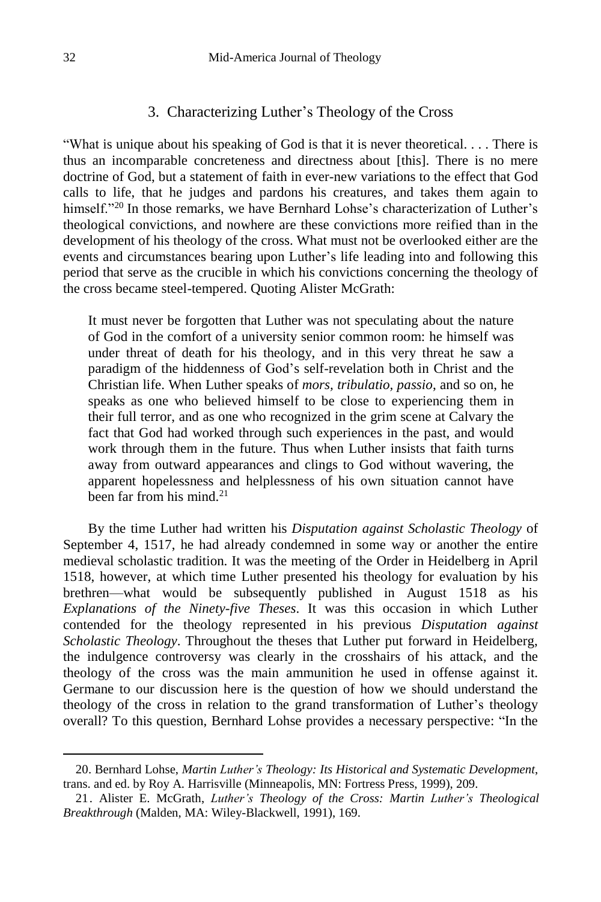#### 3. Characterizing Luther's Theology of the Cross

"What is unique about his speaking of God is that it is never theoretical. . . . There is thus an incomparable concreteness and directness about [this]. There is no mere doctrine of God, but a statement of faith in ever-new variations to the effect that God calls to life, that he judges and pardons his creatures, and takes them again to himself."<sup>20</sup> In those remarks, we have Bernhard Lohse's characterization of Luther's theological convictions, and nowhere are these convictions more reified than in the development of his theology of the cross. What must not be overlooked either are the events and circumstances bearing upon Luther's life leading into and following this period that serve as the crucible in which his convictions concerning the theology of the cross became steel-tempered. Quoting Alister McGrath:

It must never be forgotten that Luther was not speculating about the nature of God in the comfort of a university senior common room: he himself was under threat of death for his theology, and in this very threat he saw a paradigm of the hiddenness of God's self-revelation both in Christ and the Christian life. When Luther speaks of *mors, tribulatio, passio*, and so on, he speaks as one who believed himself to be close to experiencing them in their full terror, and as one who recognized in the grim scene at Calvary the fact that God had worked through such experiences in the past, and would work through them in the future. Thus when Luther insists that faith turns away from outward appearances and clings to God without wavering, the apparent hopelessness and helplessness of his own situation cannot have been far from his mind  $21$ 

By the time Luther had written his *Disputation against Scholastic Theology* of September 4, 1517, he had already condemned in some way or another the entire medieval scholastic tradition. It was the meeting of the Order in Heidelberg in April 1518, however, at which time Luther presented his theology for evaluation by his brethren—what would be subsequently published in August 1518 as his *Explanations of the Ninety-five Theses*. It was this occasion in which Luther contended for the theology represented in his previous *Disputation against Scholastic Theology*. Throughout the theses that Luther put forward in Heidelberg, the indulgence controversy was clearly in the crosshairs of his attack, and the theology of the cross was the main ammunition he used in offense against it. Germane to our discussion here is the question of how we should understand the theology of the cross in relation to the grand transformation of Luther's theology overall? To this question, Bernhard Lohse provides a necessary perspective: "In the

<sup>20.</sup> Bernhard Lohse, *Martin Luther's Theology: Its Historical and Systematic Development*, trans. and ed. by Roy A. Harrisville (Minneapolis, MN: Fortress Press, 1999), 209.

<sup>21.</sup> Alister E. McGrath, *Luther's Theology of the Cross: Martin Luther's Theological Breakthrough* (Malden, MA: Wiley-Blackwell, 1991), 169.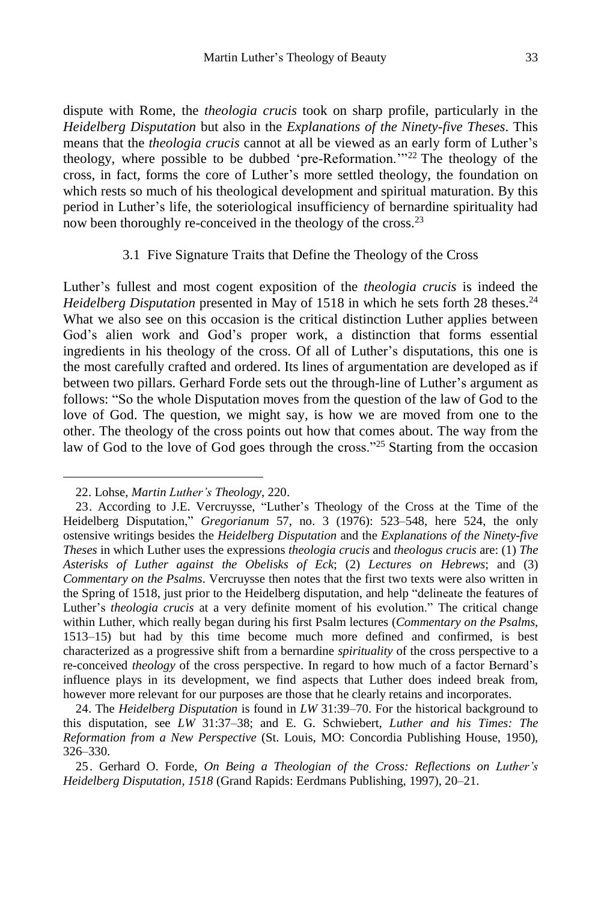dispute with Rome, the *theologia crucis* took on sharp profile, particularly in the *Heidelberg Disputation* but also in the *Explanations of the Ninety-five Theses*. This means that the *theologia crucis* cannot at all be viewed as an early form of Luther's theology, where possible to be dubbed 'pre-Reformation.'"<sup>22</sup> The theology of the cross, in fact, forms the core of Luther's more settled theology, the foundation on which rests so much of his theological development and spiritual maturation. By this period in Luther's life, the soteriological insufficiency of bernardine spirituality had now been thoroughly re-conceived in the theology of the cross.<sup>23</sup>

#### 3.1 Five Signature Traits that Define the Theology of the Cross

Luther's fullest and most cogent exposition of the *theologia crucis* is indeed the *Heidelberg Disputation* presented in May of 1518 in which he sets forth 28 theses. 24 What we also see on this occasion is the critical distinction Luther applies between God's alien work and God's proper work, a distinction that forms essential ingredients in his theology of the cross. Of all of Luther's disputations, this one is the most carefully crafted and ordered. Its lines of argumentation are developed as if between two pillars. Gerhard Forde sets out the through-line of Luther's argument as follows: "So the whole Disputation moves from the question of the law of God to the love of God. The question, we might say, is how we are moved from one to the other. The theology of the cross points out how that comes about. The way from the law of God to the love of God goes through the cross."<sup>25</sup> Starting from the occasion

<sup>22.</sup> Lohse, *Martin Luther's Theology*, 220.

<sup>23.</sup> According to J.E. Vercruysse, "Luther's Theology of the Cross at the Time of the Heidelberg Disputation," *Gregorianum* 57, no. 3 (1976): 523–548, here 524, the only ostensive writings besides the *Heidelberg Disputation* and the *Explanations of the Ninety-five Theses* in which Luther uses the expressions *theologia crucis* and *theologus crucis* are: (1) *The Asterisks of Luther against the Obelisks of Eck*; (2) *Lectures on Hebrews*; and (3) *Commentary on the Psalms*. Vercruysse then notes that the first two texts were also written in the Spring of 1518, just prior to the Heidelberg disputation, and help "delineate the features of Luther's *theologia crucis* at a very definite moment of his evolution." The critical change within Luther, which really began during his first Psalm lectures (*Commentary on the Psalms*, 1513–15) but had by this time become much more defined and confirmed, is best characterized as a progressive shift from a bernardine *spirituality* of the cross perspective to a re-conceived *theology* of the cross perspective. In regard to how much of a factor Bernard's influence plays in its development, we find aspects that Luther does indeed break from, however more relevant for our purposes are those that he clearly retains and incorporates.

<sup>24.</sup> The *Heidelberg Disputation* is found in *LW* 31:39–70. For the historical background to this disputation, see *LW* 31:37–38; and E. G. Schwiebert, *Luther and his Times: The Reformation from a New Perspective* (St. Louis, MO: Concordia Publishing House, 1950), 326–330.

<sup>25.</sup> Gerhard O. Forde, *On Being a Theologian of the Cross: Reflections on Luther's Heidelberg Disputation, 1518* (Grand Rapids: Eerdmans Publishing, 1997), 20–21.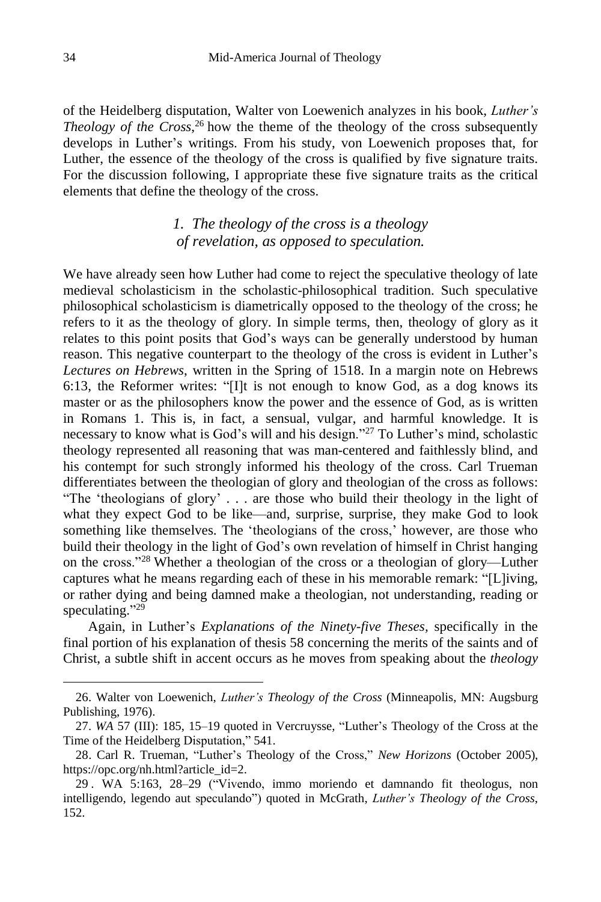of the Heidelberg disputation, Walter von Loewenich analyzes in his book, *Luther's Theology of the Cross*, <sup>26</sup> how the theme of the theology of the cross subsequently develops in Luther's writings. From his study, von Loewenich proposes that, for Luther, the essence of the theology of the cross is qualified by five signature traits. For the discussion following, I appropriate these five signature traits as the critical elements that define the theology of the cross.

# *1. The theology of the cross is a theology of revelation, as opposed to speculation.*

We have already seen how Luther had come to reject the speculative theology of late medieval scholasticism in the scholastic-philosophical tradition. Such speculative philosophical scholasticism is diametrically opposed to the theology of the cross; he refers to it as the theology of glory. In simple terms, then, theology of glory as it relates to this point posits that God's ways can be generally understood by human reason. This negative counterpart to the theology of the cross is evident in Luther's *Lectures on Hebrews*, written in the Spring of 1518. In a margin note on Hebrews 6:13, the Reformer writes: "[I]t is not enough to know God, as a dog knows its master or as the philosophers know the power and the essence of God, as is written in Romans 1. This is, in fact, a sensual, vulgar, and harmful knowledge. It is necessary to know what is God's will and his design."<sup>27</sup> To Luther's mind, scholastic theology represented all reasoning that was man-centered and faithlessly blind, and his contempt for such strongly informed his theology of the cross. Carl Trueman differentiates between the theologian of glory and theologian of the cross as follows: "The 'theologians of glory' . . . are those who build their theology in the light of what they expect God to be like—and, surprise, surprise, they make God to look something like themselves. The 'theologians of the cross,' however, are those who build their theology in the light of God's own revelation of himself in Christ hanging on the cross."<sup>28</sup> Whether a theologian of the cross or a theologian of glory—Luther captures what he means regarding each of these in his memorable remark: "[L]iving, or rather dying and being damned make a theologian, not understanding, reading or speculating."<sup>29</sup>

Again, in Luther's *Explanations of the Ninety-five Theses,* specifically in the final portion of his explanation of thesis 58 concerning the merits of the saints and of Christ, a subtle shift in accent occurs as he moves from speaking about the *theology*

<sup>26.</sup> Walter von Loewenich, *Luther's Theology of the Cross* (Minneapolis, MN: Augsburg Publishing, 1976).

<sup>27.</sup> *WA* 57 (III): 185, 15–19 quoted in Vercruysse, "Luther's Theology of the Cross at the Time of the Heidelberg Disputation," 541.

<sup>28.</sup> Carl R. Trueman, "Luther's Theology of the Cross," *New Horizons* (October 2005), https://opc.org/nh.html?article\_id=2.

<sup>29</sup> . WA 5:163, 28–29 ("Vivendo, immo moriendo et damnando fit theologus, non intelligendo, legendo aut speculando") quoted in McGrath, *Luther's Theology of the Cross*, 152.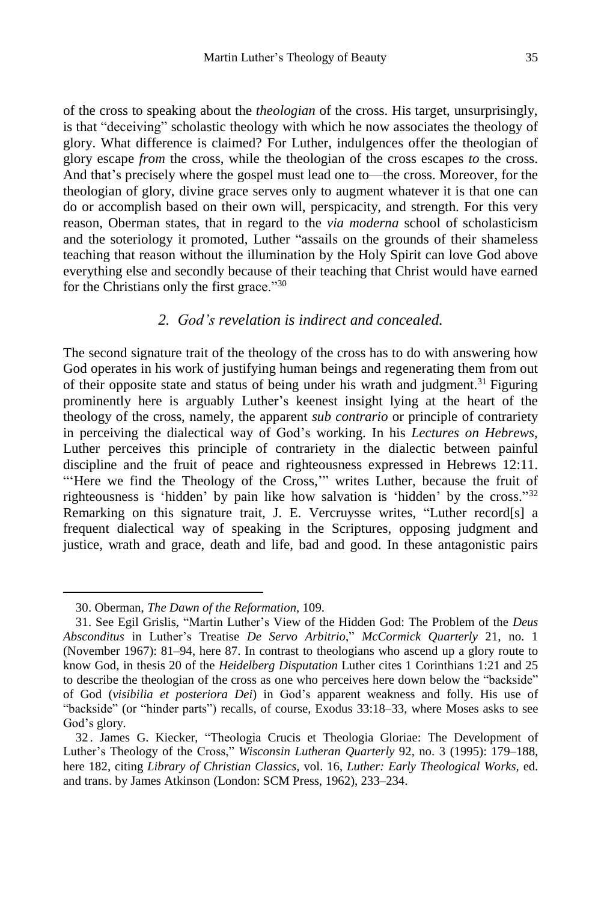of the cross to speaking about the *theologian* of the cross. His target, unsurprisingly, is that "deceiving" scholastic theology with which he now associates the theology of glory. What difference is claimed? For Luther, indulgences offer the theologian of glory escape *from* the cross, while the theologian of the cross escapes *to* the cross. And that's precisely where the gospel must lead one to—the cross. Moreover, for the theologian of glory, divine grace serves only to augment whatever it is that one can do or accomplish based on their own will, perspicacity, and strength. For this very reason, Oberman states, that in regard to the *via moderna* school of scholasticism and the soteriology it promoted, Luther "assails on the grounds of their shameless teaching that reason without the illumination by the Holy Spirit can love God above everything else and secondly because of their teaching that Christ would have earned for the Christians only the first grace."<sup>30</sup>

### *2. God's revelation is indirect and concealed.*

The second signature trait of the theology of the cross has to do with answering how God operates in his work of justifying human beings and regenerating them from out of their opposite state and status of being under his wrath and judgment.<sup>31</sup> Figuring prominently here is arguably Luther's keenest insight lying at the heart of the theology of the cross, namely, the apparent *sub contrario* or principle of contrariety in perceiving the dialectical way of God's working. In his *Lectures on Hebrews*, Luther perceives this principle of contrariety in the dialectic between painful discipline and the fruit of peace and righteousness expressed in Hebrews 12:11. "'Here we find the Theology of the Cross,"" writes Luther, because the fruit of righteousness is 'hidden' by pain like how salvation is 'hidden' by the cross." 32 Remarking on this signature trait, J. E. Vercruysse writes, "Luther record[s] a frequent dialectical way of speaking in the Scriptures, opposing judgment and justice, wrath and grace, death and life, bad and good. In these antagonistic pairs

<sup>30.</sup> Oberman, *The Dawn of the Reformation*, 109.

<sup>31.</sup> See Egil Grislis, "Martin Luther's View of the Hidden God: The Problem of the *Deus Absconditus* in Luther's Treatise *De Servo Arbitrio*," *McCormick Quarterly* 21, no. 1 (November 1967): 81–94, here 87. In contrast to theologians who ascend up a glory route to know God, in thesis 20 of the *Heidelberg Disputation* Luther cites 1 Corinthians 1:21 and 25 to describe the theologian of the cross as one who perceives here down below the "backside" of God (*visibilia et posteriora Dei*) in God's apparent weakness and folly. His use of "backside" (or "hinder parts") recalls, of course, Exodus 33:18–33, where Moses asks to see God's glory.

<sup>32</sup> . James G. Kiecker, "Theologia Crucis et Theologia Gloriae: The Development of Luther's Theology of the Cross," *Wisconsin Lutheran Quarterly* 92, no. 3 (1995): 179–188, here 182, citing *Library of Christian Classics,* vol. 16, *Luther: Early Theological Works,* ed. and trans. by James Atkinson (London: SCM Press, 1962), 233–234.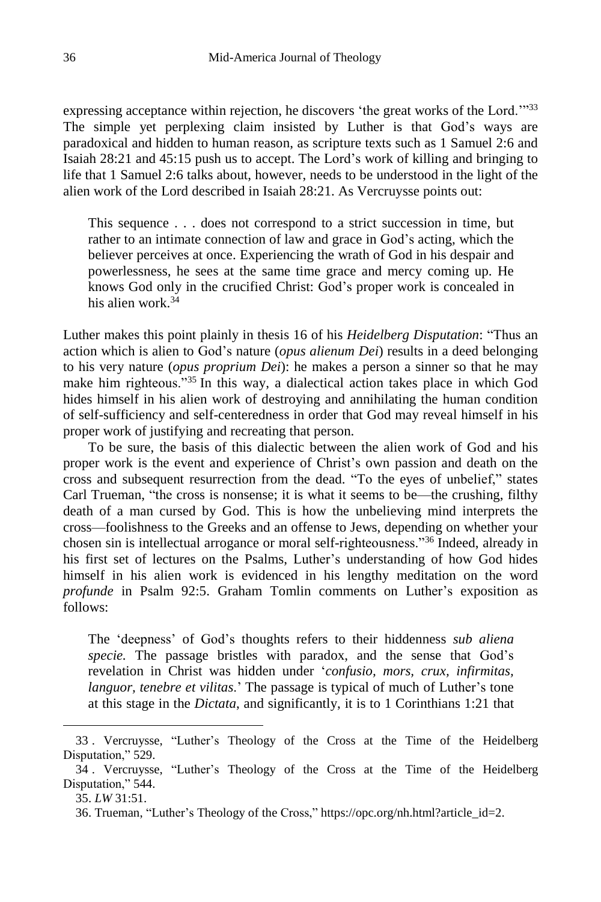expressing acceptance within rejection, he discovers 'the great works of the Lord.'"33 The simple yet perplexing claim insisted by Luther is that God's ways are paradoxical and hidden to human reason, as scripture texts such as 1 Samuel 2:6 and Isaiah 28:21 and 45:15 push us to accept. The Lord's work of killing and bringing to life that 1 Samuel 2:6 talks about, however, needs to be understood in the light of the alien work of the Lord described in Isaiah 28:21. As Vercruysse points out:

This sequence . . . does not correspond to a strict succession in time, but rather to an intimate connection of law and grace in God's acting, which the believer perceives at once. Experiencing the wrath of God in his despair and powerlessness, he sees at the same time grace and mercy coming up. He knows God only in the crucified Christ: God's proper work is concealed in his alien work.<sup>34</sup>

Luther makes this point plainly in thesis 16 of his *Heidelberg Disputation*: "Thus an action which is alien to God's nature (*opus alienum Dei*) results in a deed belonging to his very nature (*opus proprium Dei*): he makes a person a sinner so that he may make him righteous."<sup>35</sup> In this way, a dialectical action takes place in which God hides himself in his alien work of destroying and annihilating the human condition of self-sufficiency and self-centeredness in order that God may reveal himself in his proper work of justifying and recreating that person.

To be sure, the basis of this dialectic between the alien work of God and his proper work is the event and experience of Christ's own passion and death on the cross and subsequent resurrection from the dead. "To the eyes of unbelief," states Carl Trueman, "the cross is nonsense; it is what it seems to be—the crushing, filthy death of a man cursed by God. This is how the unbelieving mind interprets the cross—foolishness to the Greeks and an offense to Jews, depending on whether your chosen sin is intellectual arrogance or moral self-righteousness."<sup>36</sup> Indeed, already in his first set of lectures on the Psalms, Luther's understanding of how God hides himself in his alien work is evidenced in his lengthy meditation on the word *profunde* in Psalm 92:5. Graham Tomlin comments on Luther's exposition as follows:

The 'deepness' of God's thoughts refers to their hiddenness *sub aliena specie.* The passage bristles with paradox, and the sense that God's revelation in Christ was hidden under '*confusio, mors, crux, infirmitas, languor, tenebre et vilitas*.' The passage is typical of much of Luther's tone at this stage in the *Dictata*, and significantly, it is to 1 Corinthians 1:21 that

<sup>33</sup> . Vercruysse, "Luther's Theology of the Cross at the Time of the Heidelberg Disputation," 529.

<sup>34</sup> . Vercruysse, "Luther's Theology of the Cross at the Time of the Heidelberg Disputation," 544.

<sup>35.</sup> *LW* 31:51.

<sup>36.</sup> Trueman, "Luther's Theology of the Cross," https://opc.org/nh.html?article\_id=2.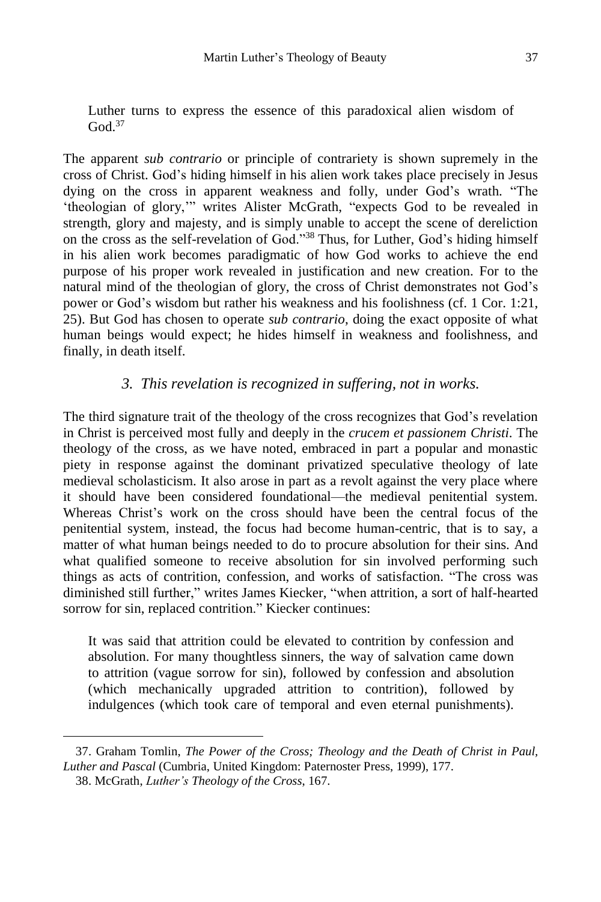Luther turns to express the essence of this paradoxical alien wisdom of  $God.<sup>37</sup>$ 

The apparent *sub contrario* or principle of contrariety is shown supremely in the cross of Christ. God's hiding himself in his alien work takes place precisely in Jesus dying on the cross in apparent weakness and folly, under God's wrath. "The 'theologian of glory,'" writes Alister McGrath, "expects God to be revealed in strength, glory and majesty, and is simply unable to accept the scene of dereliction on the cross as the self-revelation of God."<sup>38</sup> Thus, for Luther, God's hiding himself in his alien work becomes paradigmatic of how God works to achieve the end purpose of his proper work revealed in justification and new creation. For to the natural mind of the theologian of glory, the cross of Christ demonstrates not God's power or God's wisdom but rather his weakness and his foolishness (cf. 1 Cor. 1:21, 25). But God has chosen to operate *sub contrario*, doing the exact opposite of what human beings would expect; he hides himself in weakness and foolishness, and finally, in death itself.

### *3. This revelation is recognized in suffering, not in works.*

The third signature trait of the theology of the cross recognizes that God's revelation in Christ is perceived most fully and deeply in the *crucem et passionem Christi*. The theology of the cross, as we have noted, embraced in part a popular and monastic piety in response against the dominant privatized speculative theology of late medieval scholasticism. It also arose in part as a revolt against the very place where it should have been considered foundational—the medieval penitential system. Whereas Christ's work on the cross should have been the central focus of the penitential system, instead, the focus had become human-centric, that is to say, a matter of what human beings needed to do to procure absolution for their sins. And what qualified someone to receive absolution for sin involved performing such things as acts of contrition, confession, and works of satisfaction. "The cross was diminished still further," writes James Kiecker, "when attrition, a sort of half-hearted sorrow for sin, replaced contrition." Kiecker continues:

It was said that attrition could be elevated to contrition by confession and absolution. For many thoughtless sinners, the way of salvation came down to attrition (vague sorrow for sin), followed by confession and absolution (which mechanically upgraded attrition to contrition), followed by indulgences (which took care of temporal and even eternal punishments).

<sup>37.</sup> Graham Tomlin, *The Power of the Cross; Theology and the Death of Christ in Paul, Luther and Pascal* (Cumbria, United Kingdom: Paternoster Press, 1999), 177. 38. McGrath, *Luther's Theology of the Cross*, 167.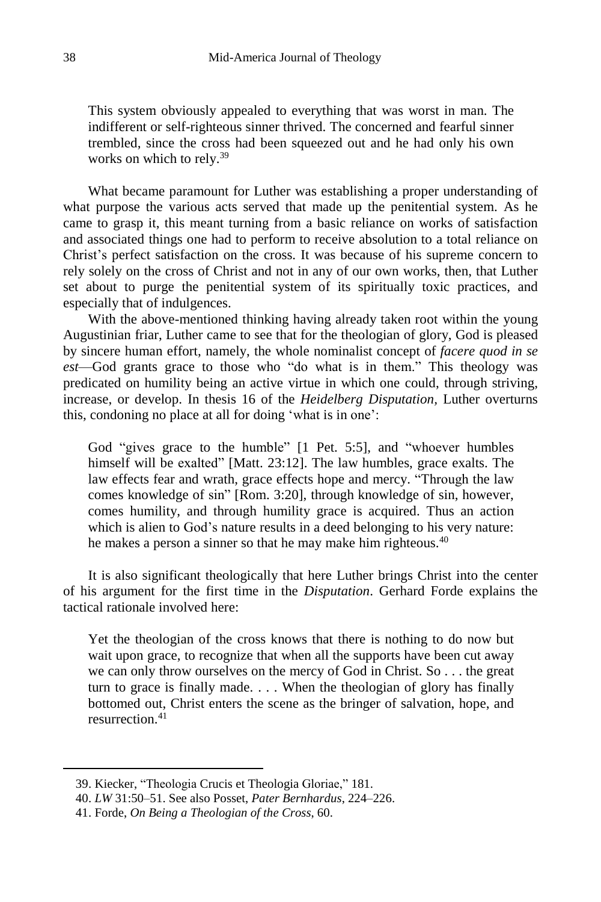This system obviously appealed to everything that was worst in man. The indifferent or self-righteous sinner thrived. The concerned and fearful sinner trembled, since the cross had been squeezed out and he had only his own works on which to rely.<sup>39</sup>

What became paramount for Luther was establishing a proper understanding of what purpose the various acts served that made up the penitential system. As he came to grasp it, this meant turning from a basic reliance on works of satisfaction and associated things one had to perform to receive absolution to a total reliance on Christ's perfect satisfaction on the cross. It was because of his supreme concern to rely solely on the cross of Christ and not in any of our own works, then, that Luther set about to purge the penitential system of its spiritually toxic practices, and especially that of indulgences.

With the above-mentioned thinking having already taken root within the young Augustinian friar, Luther came to see that for the theologian of glory, God is pleased by sincere human effort, namely, the whole nominalist concept of *facere quod in se est*—God grants grace to those who "do what is in them." This theology was predicated on humility being an active virtue in which one could, through striving, increase, or develop. In thesis 16 of the *Heidelberg Disputation,* Luther overturns this, condoning no place at all for doing 'what is in one':

God "gives grace to the humble" [1 Pet. 5:5], and "whoever humbles himself will be exalted" [Matt. 23:12]. The law humbles, grace exalts. The law effects fear and wrath, grace effects hope and mercy. "Through the law comes knowledge of sin" [Rom. 3:20], through knowledge of sin, however, comes humility, and through humility grace is acquired. Thus an action which is alien to God's nature results in a deed belonging to his very nature: he makes a person a sinner so that he may make him righteous.<sup>40</sup>

It is also significant theologically that here Luther brings Christ into the center of his argument for the first time in the *Disputation*. Gerhard Forde explains the tactical rationale involved here:

Yet the theologian of the cross knows that there is nothing to do now but wait upon grace, to recognize that when all the supports have been cut away we can only throw ourselves on the mercy of God in Christ. So . . . the great turn to grace is finally made. . . . When the theologian of glory has finally bottomed out, Christ enters the scene as the bringer of salvation, hope, and resurrection<sup>41</sup>

<sup>39.</sup> Kiecker, "Theologia Crucis et Theologia Gloriae," 181.

<sup>40.</sup> *LW* 31:50–51. See also Posset, *Pater Bernhardus*, 224–226.

<sup>41.</sup> Forde, *On Being a Theologian of the Cross*, 60.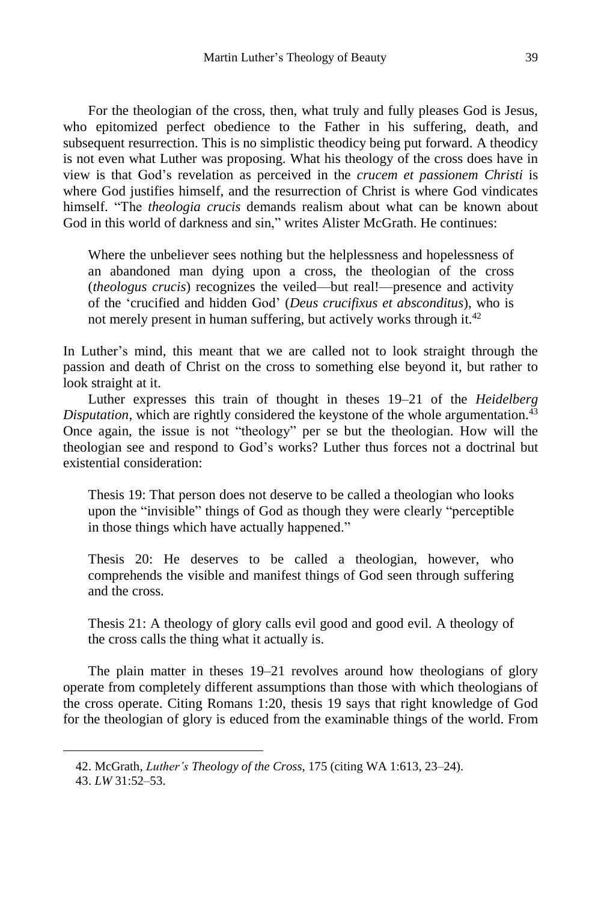For the theologian of the cross, then, what truly and fully pleases God is Jesus, who epitomized perfect obedience to the Father in his suffering, death, and subsequent resurrection. This is no simplistic theodicy being put forward. A theodicy is not even what Luther was proposing. What his theology of the cross does have in view is that God's revelation as perceived in the *crucem et passionem Christi* is where God justifies himself, and the resurrection of Christ is where God vindicates himself. "The *theologia crucis* demands realism about what can be known about God in this world of darkness and sin," writes Alister McGrath. He continues:

Where the unbeliever sees nothing but the helplessness and hopelessness of an abandoned man dying upon a cross, the theologian of the cross (*theologus crucis*) recognizes the veiled—but real!—presence and activity of the 'crucified and hidden God' (*Deus crucifixus et absconditus*), who is not merely present in human suffering, but actively works through it.<sup>42</sup>

In Luther's mind, this meant that we are called not to look straight through the passion and death of Christ on the cross to something else beyond it, but rather to look straight at it.

Luther expresses this train of thought in theses 19–21 of the *Heidelberg Disputation*, which are rightly considered the keystone of the whole argumentation.<sup>43</sup> Once again, the issue is not "theology" per se but the theologian. How will the theologian see and respond to God's works? Luther thus forces not a doctrinal but existential consideration:

Thesis 19: That person does not deserve to be called a theologian who looks upon the "invisible" things of God as though they were clearly "perceptible in those things which have actually happened."

Thesis 20: He deserves to be called a theologian, however, who comprehends the visible and manifest things of God seen through suffering and the cross.

Thesis 21: A theology of glory calls evil good and good evil. A theology of the cross calls the thing what it actually is.

The plain matter in theses 19–21 revolves around how theologians of glory operate from completely different assumptions than those with which theologians of the cross operate. Citing Romans 1:20, thesis 19 says that right knowledge of God for the theologian of glory is educed from the examinable things of the world. From

<sup>42.</sup> McGrath, *Luther's Theology of the Cross*, 175 (citing WA 1:613, 23–24).

<sup>43.</sup> *LW* 31:52–53.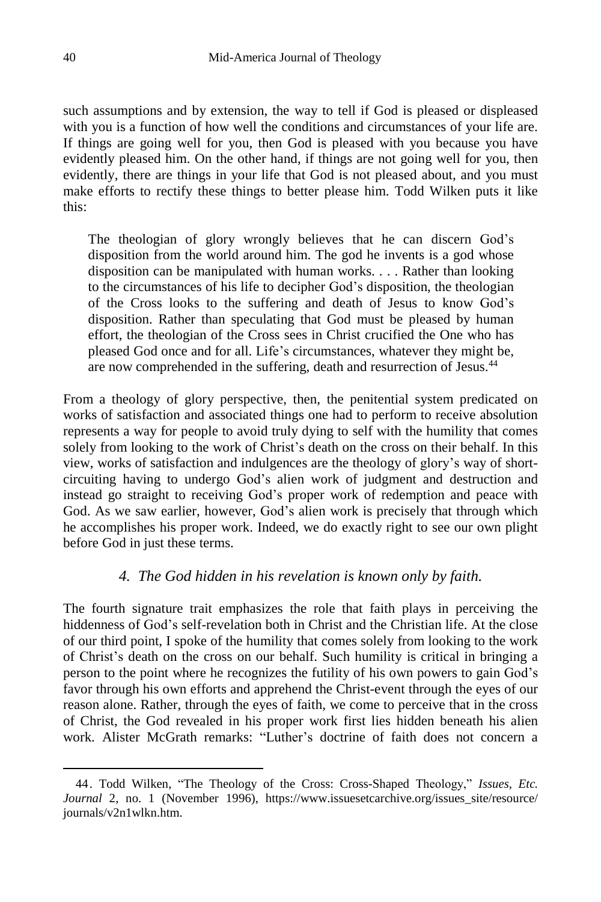such assumptions and by extension, the way to tell if God is pleased or displeased with you is a function of how well the conditions and circumstances of your life are. If things are going well for you, then God is pleased with you because you have evidently pleased him. On the other hand, if things are not going well for you, then evidently, there are things in your life that God is not pleased about, and you must make efforts to rectify these things to better please him. Todd Wilken puts it like this:

The theologian of glory wrongly believes that he can discern God's disposition from the world around him. The god he invents is a god whose disposition can be manipulated with human works. . . . Rather than looking to the circumstances of his life to decipher God's disposition, the theologian of the Cross looks to the suffering and death of Jesus to know God's disposition. Rather than speculating that God must be pleased by human effort, the theologian of the Cross sees in Christ crucified the One who has pleased God once and for all. Life's circumstances, whatever they might be, are now comprehended in the suffering, death and resurrection of Jesus.<sup>44</sup>

From a theology of glory perspective, then, the penitential system predicated on works of satisfaction and associated things one had to perform to receive absolution represents a way for people to avoid truly dying to self with the humility that comes solely from looking to the work of Christ's death on the cross on their behalf. In this view, works of satisfaction and indulgences are the theology of glory's way of shortcircuiting having to undergo God's alien work of judgment and destruction and instead go straight to receiving God's proper work of redemption and peace with God. As we saw earlier, however, God's alien work is precisely that through which he accomplishes his proper work. Indeed, we do exactly right to see our own plight before God in just these terms.

### *4. The God hidden in his revelation is known only by faith.*

The fourth signature trait emphasizes the role that faith plays in perceiving the hiddenness of God's self-revelation both in Christ and the Christian life. At the close of our third point, I spoke of the humility that comes solely from looking to the work of Christ's death on the cross on our behalf. Such humility is critical in bringing a person to the point where he recognizes the futility of his own powers to gain God's favor through his own efforts and apprehend the Christ-event through the eyes of our reason alone. Rather, through the eyes of faith, we come to perceive that in the cross of Christ, the God revealed in his proper work first lies hidden beneath his alien work. Alister McGrath remarks: "Luther's doctrine of faith does not concern a

<sup>44.</sup> Todd Wilken, "The Theology of the Cross: Cross-Shaped Theology," *Issues, Etc. Journal* 2, no. 1 (November 1996), https://www.issuesetcarchive.org/issues\_site/resource/ journals/v2n1wlkn.htm.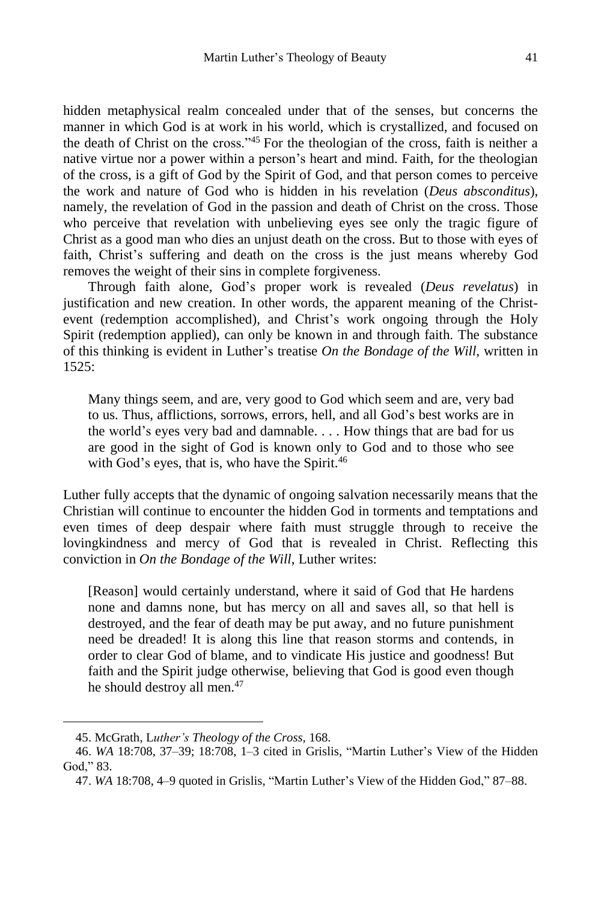hidden metaphysical realm concealed under that of the senses, but concerns the manner in which God is at work in his world, which is crystallized, and focused on the death of Christ on the cross."<sup>45</sup> For the theologian of the cross, faith is neither a native virtue nor a power within a person's heart and mind. Faith, for the theologian of the cross, is a gift of God by the Spirit of God, and that person comes to perceive the work and nature of God who is hidden in his revelation (*Deus absconditus*), namely, the revelation of God in the passion and death of Christ on the cross. Those who perceive that revelation with unbelieving eyes see only the tragic figure of Christ as a good man who dies an unjust death on the cross. But to those with eyes of faith, Christ's suffering and death on the cross is the just means whereby God removes the weight of their sins in complete forgiveness.

Through faith alone, God's proper work is revealed (*Deus revelatus*) in justification and new creation. In other words, the apparent meaning of the Christevent (redemption accomplished), and Christ's work ongoing through the Holy Spirit (redemption applied), can only be known in and through faith. The substance of this thinking is evident in Luther's treatise *On the Bondage of the Will*, written in 1525:

Many things seem, and are, very good to God which seem and are, very bad to us. Thus, afflictions, sorrows, errors, hell, and all God's best works are in the world's eyes very bad and damnable. . . . How things that are bad for us are good in the sight of God is known only to God and to those who see with God's eyes, that is, who have the Spirit.<sup>46</sup>

Luther fully accepts that the dynamic of ongoing salvation necessarily means that the Christian will continue to encounter the hidden God in torments and temptations and even times of deep despair where faith must struggle through to receive the lovingkindness and mercy of God that is revealed in Christ. Reflecting this conviction in *On the Bondage of the Will*, Luther writes:

[Reason] would certainly understand, where it said of God that He hardens none and damns none, but has mercy on all and saves all, so that hell is destroyed, and the fear of death may be put away, and no future punishment need be dreaded! It is along this line that reason storms and contends, in order to clear God of blame, and to vindicate His justice and goodness! But faith and the Spirit judge otherwise, believing that God is good even though he should destroy all men.<sup>47</sup>

<sup>45.</sup> McGrath, L*uther's Theology of the Cross,* 168.

<sup>46.</sup> *WA* 18:708, 37–39; 18:708, 1–3 cited in Grislis, "Martin Luther's View of the Hidden God," 83.

<sup>47.</sup> *WA* 18:708, 4–9 quoted in Grislis, "Martin Luther's View of the Hidden God," 87–88.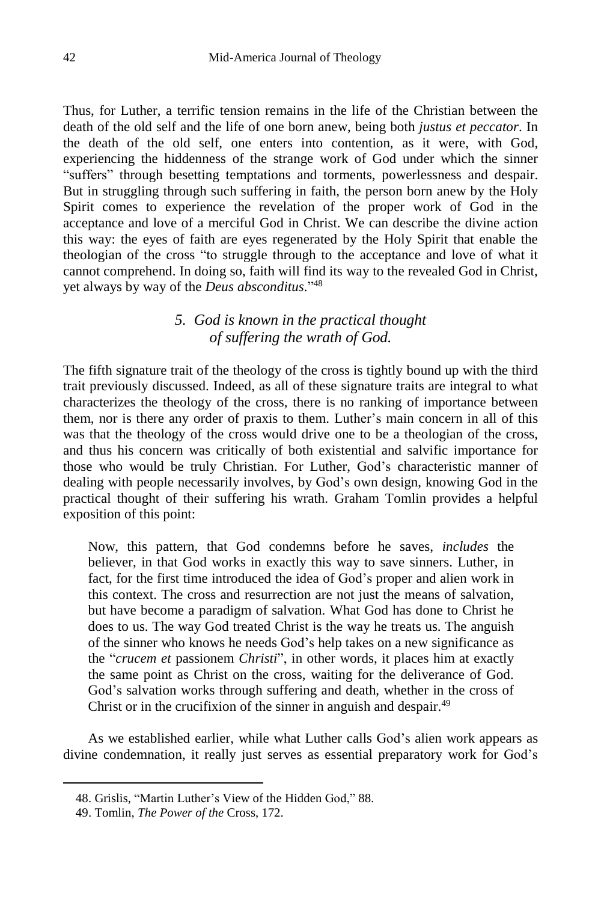Thus, for Luther, a terrific tension remains in the life of the Christian between the death of the old self and the life of one born anew, being both *justus et peccator*. In the death of the old self, one enters into contention, as it were, with God, experiencing the hiddenness of the strange work of God under which the sinner "suffers" through besetting temptations and torments, powerlessness and despair. But in struggling through such suffering in faith, the person born anew by the Holy Spirit comes to experience the revelation of the proper work of God in the acceptance and love of a merciful God in Christ. We can describe the divine action this way: the eyes of faith are eyes regenerated by the Holy Spirit that enable the theologian of the cross "to struggle through to the acceptance and love of what it cannot comprehend. In doing so, faith will find its way to the revealed God in Christ, yet always by way of the *Deus absconditus*." 48

## *5. God is known in the practical thought of suffering the wrath of God.*

The fifth signature trait of the theology of the cross is tightly bound up with the third trait previously discussed. Indeed, as all of these signature traits are integral to what characterizes the theology of the cross, there is no ranking of importance between them, nor is there any order of praxis to them. Luther's main concern in all of this was that the theology of the cross would drive one to be a theologian of the cross, and thus his concern was critically of both existential and salvific importance for those who would be truly Christian. For Luther, God's characteristic manner of dealing with people necessarily involves, by God's own design, knowing God in the practical thought of their suffering his wrath. Graham Tomlin provides a helpful exposition of this point:

Now, this pattern, that God condemns before he saves, *includes* the believer, in that God works in exactly this way to save sinners. Luther, in fact, for the first time introduced the idea of God's proper and alien work in this context. The cross and resurrection are not just the means of salvation, but have become a paradigm of salvation. What God has done to Christ he does to us. The way God treated Christ is the way he treats us. The anguish of the sinner who knows he needs God's help takes on a new significance as the "*crucem et* passionem *Christi*", in other words, it places him at exactly the same point as Christ on the cross, waiting for the deliverance of God. God's salvation works through suffering and death, whether in the cross of Christ or in the crucifixion of the sinner in anguish and despair.<sup>49</sup>

As we established earlier, while what Luther calls God's alien work appears as divine condemnation, it really just serves as essential preparatory work for God's

<sup>48.</sup> Grislis, "Martin Luther's View of the Hidden God," 88.

<sup>49.</sup> Tomlin, *The Power of the* Cross, 172.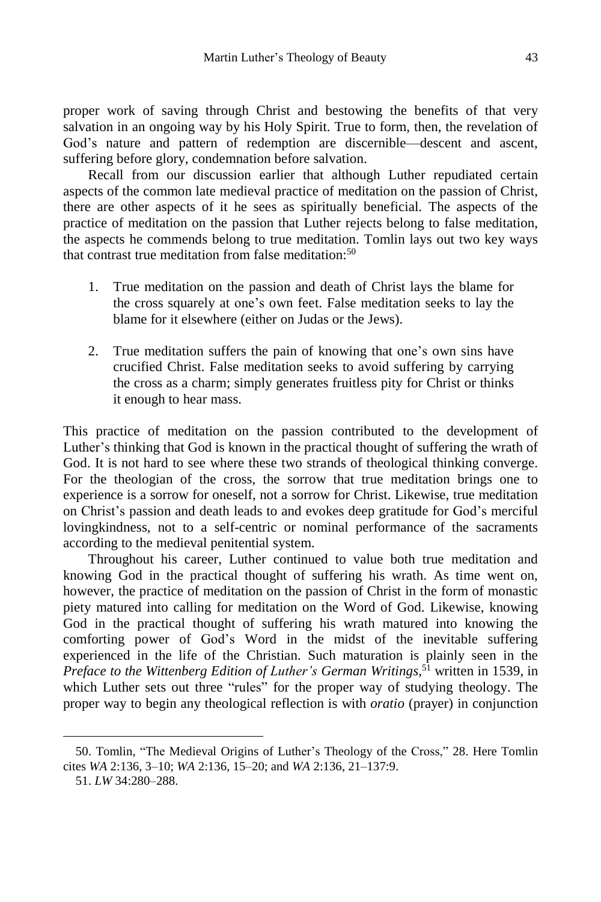proper work of saving through Christ and bestowing the benefits of that very salvation in an ongoing way by his Holy Spirit. True to form, then, the revelation of God's nature and pattern of redemption are discernible—descent and ascent, suffering before glory, condemnation before salvation.

Recall from our discussion earlier that although Luther repudiated certain aspects of the common late medieval practice of meditation on the passion of Christ, there are other aspects of it he sees as spiritually beneficial. The aspects of the practice of meditation on the passion that Luther rejects belong to false meditation, the aspects he commends belong to true meditation. Tomlin lays out two key ways that contrast true meditation from false meditation:<sup>50</sup>

- 1. True meditation on the passion and death of Christ lays the blame for the cross squarely at one's own feet. False meditation seeks to lay the blame for it elsewhere (either on Judas or the Jews).
- 2. True meditation suffers the pain of knowing that one's own sins have crucified Christ. False meditation seeks to avoid suffering by carrying the cross as a charm; simply generates fruitless pity for Christ or thinks it enough to hear mass.

This practice of meditation on the passion contributed to the development of Luther's thinking that God is known in the practical thought of suffering the wrath of God. It is not hard to see where these two strands of theological thinking converge. For the theologian of the cross, the sorrow that true meditation brings one to experience is a sorrow for oneself, not a sorrow for Christ. Likewise, true meditation on Christ's passion and death leads to and evokes deep gratitude for God's merciful lovingkindness, not to a self-centric or nominal performance of the sacraments according to the medieval penitential system.

Throughout his career, Luther continued to value both true meditation and knowing God in the practical thought of suffering his wrath. As time went on, however, the practice of meditation on the passion of Christ in the form of monastic piety matured into calling for meditation on the Word of God. Likewise, knowing God in the practical thought of suffering his wrath matured into knowing the comforting power of God's Word in the midst of the inevitable suffering experienced in the life of the Christian. Such maturation is plainly seen in the *Preface to the Wittenberg Edition of Luther's German Writings*, <sup>51</sup> written in 1539, in which Luther sets out three "rules" for the proper way of studying theology. The proper way to begin any theological reflection is with *oratio* (prayer) in conjunction

<sup>50.</sup> Tomlin, "The Medieval Origins of Luther's Theology of the Cross," 28. Here Tomlin cites *WA* 2:136, 3–10; *WA* 2:136, 15–20; and *WA* 2:136, 21–137:9.

<sup>51.</sup> *LW* 34:280–288.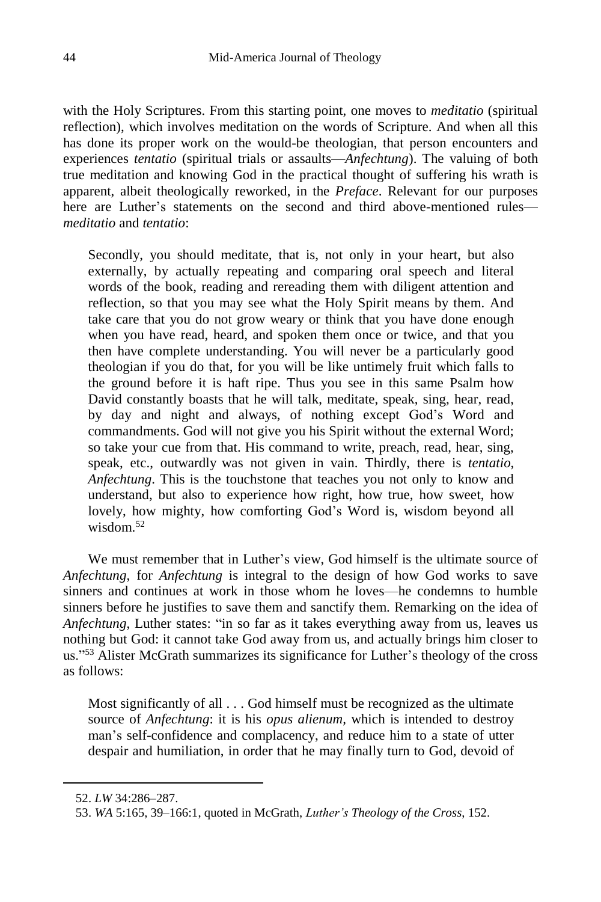with the Holy Scriptures. From this starting point, one moves to *meditatio* (spiritual reflection), which involves meditation on the words of Scripture. And when all this has done its proper work on the would-be theologian, that person encounters and experiences *tentatio* (spiritual trials or assaults—*Anfechtung*). The valuing of both true meditation and knowing God in the practical thought of suffering his wrath is apparent, albeit theologically reworked, in the *Preface*. Relevant for our purposes here are Luther's statements on the second and third above-mentioned rules *meditatio* and *tentatio*:

Secondly, you should meditate, that is, not only in your heart, but also externally, by actually repeating and comparing oral speech and literal words of the book, reading and rereading them with diligent attention and reflection, so that you may see what the Holy Spirit means by them. And take care that you do not grow weary or think that you have done enough when you have read, heard, and spoken them once or twice, and that you then have complete understanding. You will never be a particularly good theologian if you do that, for you will be like untimely fruit which falls to the ground before it is haft ripe. Thus you see in this same Psalm how David constantly boasts that he will talk, meditate, speak, sing, hear, read, by day and night and always, of nothing except God's Word and commandments. God will not give you his Spirit without the external Word; so take your cue from that. His command to write, preach, read, hear, sing, speak, etc., outwardly was not given in vain. Thirdly, there is *tentatio*, *Anfechtung*. This is the touchstone that teaches you not only to know and understand, but also to experience how right, how true, how sweet, how lovely, how mighty, how comforting God's Word is, wisdom beyond all wisdom  $52$ 

We must remember that in Luther's view, God himself is the ultimate source of *Anfechtung*, for *Anfechtung* is integral to the design of how God works to save sinners and continues at work in those whom he loves—he condemns to humble sinners before he justifies to save them and sanctify them. Remarking on the idea of *Anfechtung*, Luther states: "in so far as it takes everything away from us, leaves us nothing but God: it cannot take God away from us, and actually brings him closer to us."<sup>53</sup> Alister McGrath summarizes its significance for Luther's theology of the cross as follows:

Most significantly of all . . . God himself must be recognized as the ultimate source of *Anfechtung*: it is his *opus alienum,* which is intended to destroy man's self-confidence and complacency, and reduce him to a state of utter despair and humiliation, in order that he may finally turn to God, devoid of

<sup>52.</sup> *LW* 34:286–287.

<sup>53.</sup> *WA* 5:165, 39–166:1, quoted in McGrath, *Luther's Theology of the Cross*, 152.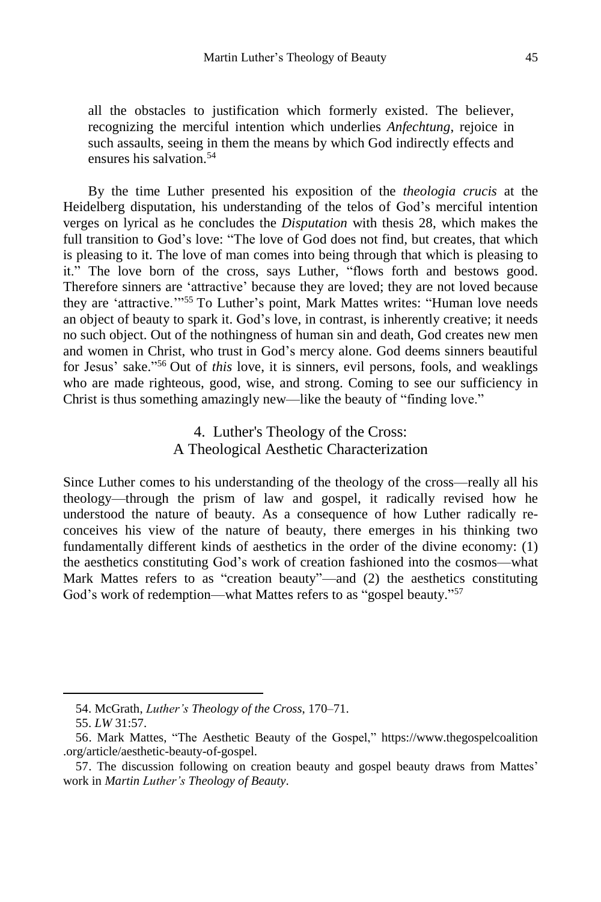all the obstacles to justification which formerly existed. The believer, recognizing the merciful intention which underlies *Anfechtung*, rejoice in such assaults, seeing in them the means by which God indirectly effects and ensures his salvation. 54

By the time Luther presented his exposition of the *theologia crucis* at the Heidelberg disputation, his understanding of the telos of God's merciful intention verges on lyrical as he concludes the *Disputation* with thesis 28, which makes the full transition to God's love: "The love of God does not find, but creates, that which is pleasing to it. The love of man comes into being through that which is pleasing to it." The love born of the cross, says Luther, "flows forth and bestows good. Therefore sinners are 'attractive' because they are loved; they are not loved because they are 'attractive.'"<sup>55</sup> To Luther's point, Mark Mattes writes: "Human love needs an object of beauty to spark it. God's love, in contrast, is inherently creative; it needs no such object. Out of the nothingness of human sin and death, God creates new men and women in Christ, who trust in God's mercy alone. God deems sinners beautiful for Jesus' sake." <sup>56</sup> Out of *this* love, it is sinners, evil persons, fools, and weaklings who are made righteous, good, wise, and strong. Coming to see our sufficiency in Christ is thus something amazingly new—like the beauty of "finding love."

> 4. Luther's Theology of the Cross: A Theological Aesthetic Characterization

Since Luther comes to his understanding of the theology of the cross—really all his theology—through the prism of law and gospel, it radically revised how he understood the nature of beauty. As a consequence of how Luther radically reconceives his view of the nature of beauty, there emerges in his thinking two fundamentally different kinds of aesthetics in the order of the divine economy: (1) the aesthetics constituting God's work of creation fashioned into the cosmos—what Mark Mattes refers to as "creation beauty"—and (2) the aesthetics constituting God's work of redemption—what Mattes refers to as "gospel beauty."<sup>57</sup>

<sup>54.</sup> McGrath, *Luther's Theology of the Cross*, 170–71.

<sup>55.</sup> *LW* 31:57.

<sup>56.</sup> Mark Mattes, "The Aesthetic Beauty of the Gospel," https://www.thegospelcoalition .org/article/aesthetic-beauty-of-gospel.

<sup>57.</sup> The discussion following on creation beauty and gospel beauty draws from Mattes' work in *Martin Luther's Theology of Beauty*.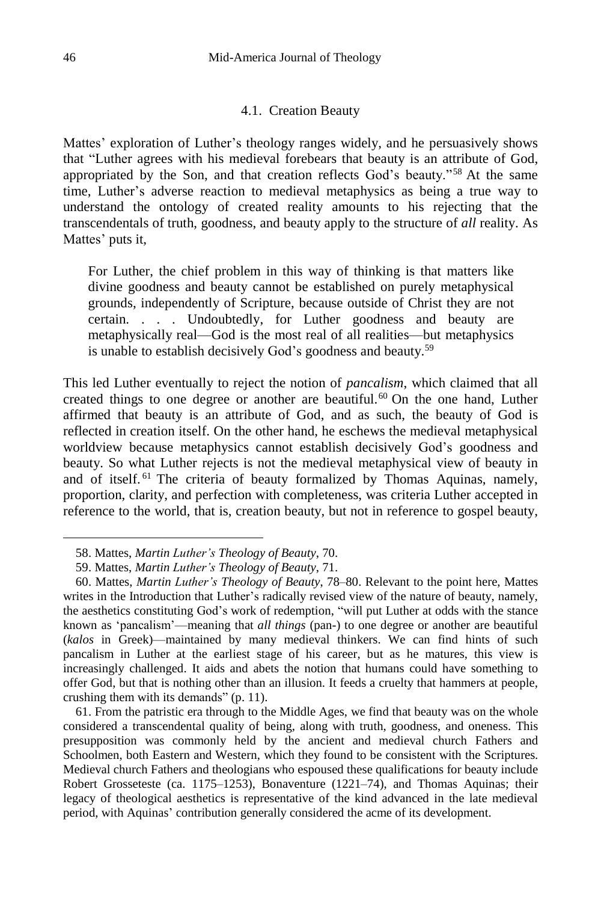#### 4.1. Creation Beauty

Mattes' exploration of Luther's theology ranges widely, and he persuasively shows that "Luther agrees with his medieval forebears that beauty is an attribute of God, appropriated by the Son, and that creation reflects God's beauty."<sup>58</sup> At the same time, Luther's adverse reaction to medieval metaphysics as being a true way to understand the ontology of created reality amounts to his rejecting that the transcendentals of truth, goodness, and beauty apply to the structure of *all* reality. As Mattes' puts it,

For Luther, the chief problem in this way of thinking is that matters like divine goodness and beauty cannot be established on purely metaphysical grounds, independently of Scripture, because outside of Christ they are not certain. . . . Undoubtedly, for Luther goodness and beauty are metaphysically real—God is the most real of all realities—but metaphysics is unable to establish decisively God's goodness and beauty.<sup>59</sup>

This led Luther eventually to reject the notion of *pancalism*, which claimed that all created things to one degree or another are beautiful.<sup>60</sup> On the one hand, Luther affirmed that beauty is an attribute of God, and as such, the beauty of God is reflected in creation itself. On the other hand, he eschews the medieval metaphysical worldview because metaphysics cannot establish decisively God's goodness and beauty. So what Luther rejects is not the medieval metaphysical view of beauty in and of itself. <sup>61</sup> The criteria of beauty formalized by Thomas Aquinas, namely, proportion, clarity, and perfection with completeness, was criteria Luther accepted in reference to the world, that is, creation beauty, but not in reference to gospel beauty,

<sup>58.</sup> Mattes, *Martin Luther's Theology of Beauty*, 70.

<sup>59.</sup> Mattes, *Martin Luther's Theology of Beauty*, 71.

<sup>60.</sup> Mattes, *Martin Luther's Theology of Beauty*, 78–80. Relevant to the point here, Mattes writes in the Introduction that Luther's radically revised view of the nature of beauty, namely, the aesthetics constituting God's work of redemption, "will put Luther at odds with the stance known as 'pancalism'—meaning that *all things* (pan-) to one degree or another are beautiful (*kalos* in Greek)—maintained by many medieval thinkers. We can find hints of such pancalism in Luther at the earliest stage of his career, but as he matures, this view is increasingly challenged. It aids and abets the notion that humans could have something to offer God, but that is nothing other than an illusion. It feeds a cruelty that hammers at people, crushing them with its demands" (p. 11).

<sup>61.</sup> From the patristic era through to the Middle Ages, we find that beauty was on the whole considered a transcendental quality of being, along with truth, goodness, and oneness. This presupposition was commonly held by the ancient and medieval church Fathers and Schoolmen, both Eastern and Western, which they found to be consistent with the Scriptures. Medieval church Fathers and theologians who espoused these qualifications for beauty include Robert Grosseteste (ca. 1175–1253), Bonaventure (1221–74), and Thomas Aquinas; their legacy of theological aesthetics is representative of the kind advanced in the late medieval period, with Aquinas' contribution generally considered the acme of its development.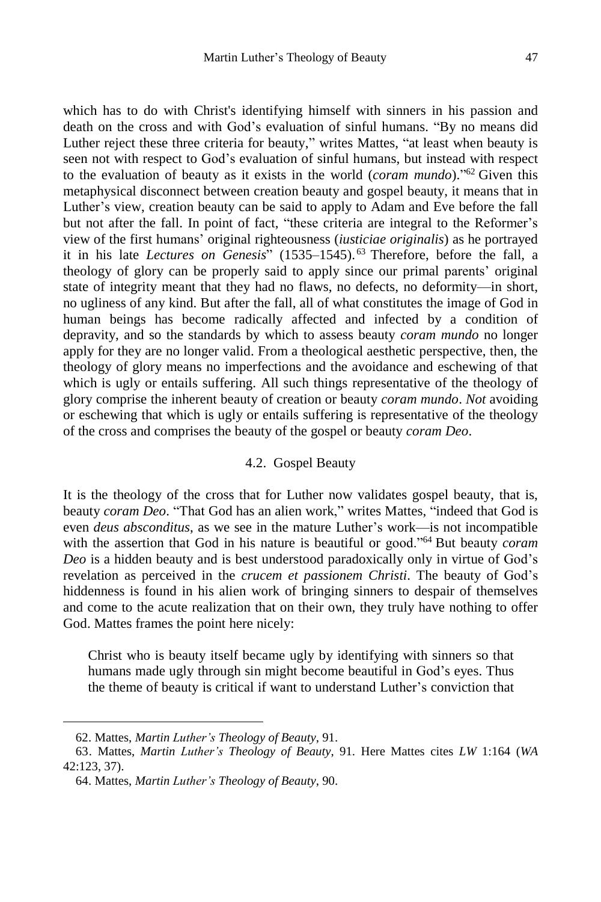which has to do with Christ's identifying himself with sinners in his passion and death on the cross and with God's evaluation of sinful humans. "By no means did Luther reject these three criteria for beauty," writes Mattes, "at least when beauty is seen not with respect to God's evaluation of sinful humans, but instead with respect to the evaluation of beauty as it exists in the world (*coram mundo*)." <sup>62</sup> Given this metaphysical disconnect between creation beauty and gospel beauty, it means that in Luther's view, creation beauty can be said to apply to Adam and Eve before the fall but not after the fall. In point of fact, "these criteria are integral to the Reformer's view of the first humans' original righteousness (*iusticiae originalis*) as he portrayed it in his late *Lectures on Genesis*" (1535–1545). <sup>63</sup> Therefore, before the fall, a theology of glory can be properly said to apply since our primal parents' original state of integrity meant that they had no flaws, no defects, no deformity—in short, no ugliness of any kind. But after the fall, all of what constitutes the image of God in human beings has become radically affected and infected by a condition of depravity, and so the standards by which to assess beauty *coram mundo* no longer apply for they are no longer valid. From a theological aesthetic perspective, then, the theology of glory means no imperfections and the avoidance and eschewing of that which is ugly or entails suffering. All such things representative of the theology of glory comprise the inherent beauty of creation or beauty *coram mundo*. *Not* avoiding or eschewing that which is ugly or entails suffering is representative of the theology of the cross and comprises the beauty of the gospel or beauty *coram Deo*.

#### 4.2. Gospel Beauty

It is the theology of the cross that for Luther now validates gospel beauty, that is, beauty *coram Deo*. "That God has an alien work," writes Mattes, "indeed that God is even *deus absconditus*, as we see in the mature Luther's work—is not incompatible with the assertion that God in his nature is beautiful or good."<sup>64</sup> But beauty *coram Deo* is a hidden beauty and is best understood paradoxically only in virtue of God's revelation as perceived in the *crucem et passionem Christi*. The beauty of God's hiddenness is found in his alien work of bringing sinners to despair of themselves and come to the acute realization that on their own, they truly have nothing to offer God. Mattes frames the point here nicely:

Christ who is beauty itself became ugly by identifying with sinners so that humans made ugly through sin might become beautiful in God's eyes. Thus the theme of beauty is critical if want to understand Luther's conviction that

<sup>62.</sup> Mattes, *Martin Luther's Theology of Beauty*, 91.

<sup>63.</sup> Mattes, *Martin Luther's Theology of Beauty*, 91. Here Mattes cites *LW* 1:164 (*WA* 42:123, 37).

<sup>64.</sup> Mattes, *Martin Luther's Theology of Beauty*, 90.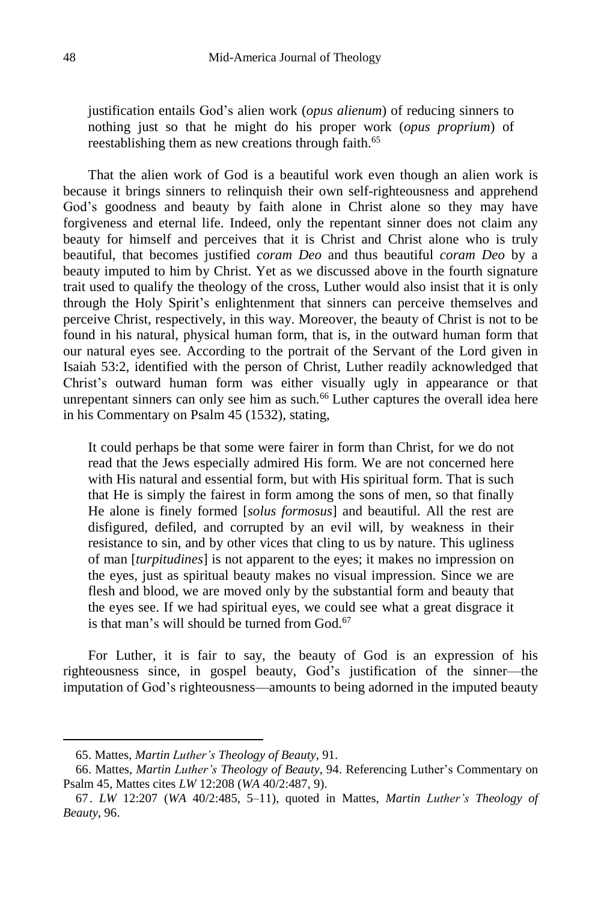justification entails God's alien work (*opus alienum*) of reducing sinners to nothing just so that he might do his proper work (*opus proprium*) of reestablishing them as new creations through faith.<sup>65</sup>

That the alien work of God is a beautiful work even though an alien work is because it brings sinners to relinquish their own self-righteousness and apprehend God's goodness and beauty by faith alone in Christ alone so they may have forgiveness and eternal life. Indeed, only the repentant sinner does not claim any beauty for himself and perceives that it is Christ and Christ alone who is truly beautiful, that becomes justified *coram Deo* and thus beautiful *coram Deo* by a beauty imputed to him by Christ. Yet as we discussed above in the fourth signature trait used to qualify the theology of the cross, Luther would also insist that it is only through the Holy Spirit's enlightenment that sinners can perceive themselves and perceive Christ, respectively, in this way. Moreover, the beauty of Christ is not to be found in his natural, physical human form, that is, in the outward human form that our natural eyes see. According to the portrait of the Servant of the Lord given in Isaiah 53:2, identified with the person of Christ, Luther readily acknowledged that Christ's outward human form was either visually ugly in appearance or that unrepentant sinners can only see him as such.<sup>66</sup> Luther captures the overall idea here in his Commentary on Psalm 45 (1532), stating,

It could perhaps be that some were fairer in form than Christ, for we do not read that the Jews especially admired His form. We are not concerned here with His natural and essential form, but with His spiritual form. That is such that He is simply the fairest in form among the sons of men, so that finally He alone is finely formed [*solus formosus*] and beautiful. All the rest are disfigured, defiled, and corrupted by an evil will, by weakness in their resistance to sin, and by other vices that cling to us by nature. This ugliness of man [*turpitudines*] is not apparent to the eyes; it makes no impression on the eyes, just as spiritual beauty makes no visual impression. Since we are flesh and blood, we are moved only by the substantial form and beauty that the eyes see. If we had spiritual eyes, we could see what a great disgrace it is that man's will should be turned from  $G<sub>od</sub>$  67

For Luther, it is fair to say, the beauty of God is an expression of his righteousness since, in gospel beauty, God's justification of the sinner—the imputation of God's righteousness—amounts to being adorned in the imputed beauty

<sup>65.</sup> Mattes, *Martin Luther's Theology of Beauty*, 91.

<sup>66.</sup> Mattes, *Martin Luther's Theology of Beauty*, 94. Referencing Luther's Commentary on Psalm 45, Mattes cites *LW* 12:208 (*WA* 40/2:487, 9).

<sup>67.</sup> *LW* 12:207 (*WA* 40/2:485, 5–11), quoted in Mattes, *Martin Luther's Theology of Beauty*, 96.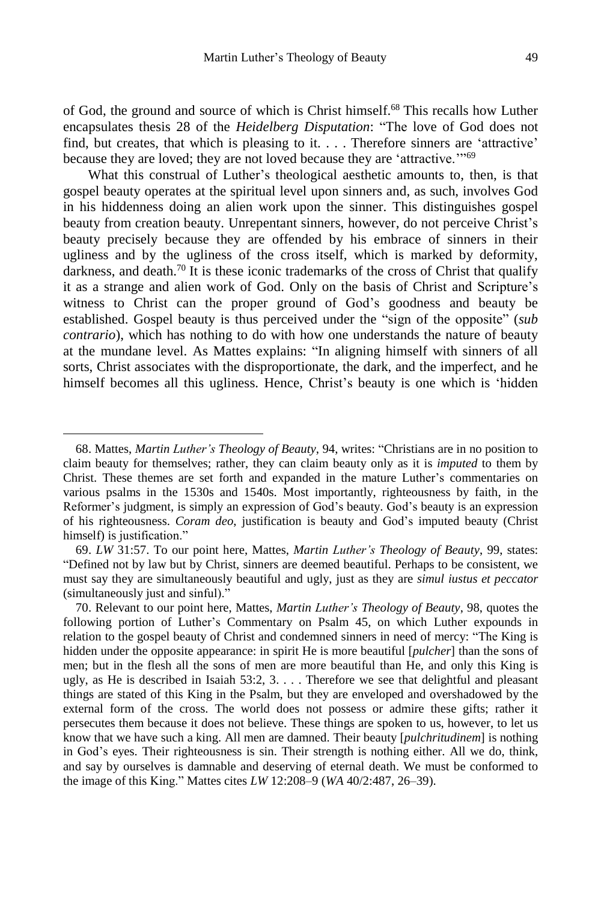of God, the ground and source of which is Christ himself.<sup>68</sup> This recalls how Luther encapsulates thesis 28 of the *Heidelberg Disputation*: "The love of God does not find, but creates, that which is pleasing to it. . . . Therefore sinners are 'attractive' because they are loved; they are not loved because they are 'attractive.'"<sup>69</sup>

What this construal of Luther's theological aesthetic amounts to, then, is that gospel beauty operates at the spiritual level upon sinners and, as such, involves God in his hiddenness doing an alien work upon the sinner. This distinguishes gospel beauty from creation beauty. Unrepentant sinners, however, do not perceive Christ's beauty precisely because they are offended by his embrace of sinners in their ugliness and by the ugliness of the cross itself, which is marked by deformity, darkness, and death.<sup>70</sup> It is these iconic trademarks of the cross of Christ that qualify it as a strange and alien work of God. Only on the basis of Christ and Scripture's witness to Christ can the proper ground of God's goodness and beauty be established. Gospel beauty is thus perceived under the "sign of the opposite" (*sub contrario*), which has nothing to do with how one understands the nature of beauty at the mundane level. As Mattes explains: "In aligning himself with sinners of all sorts, Christ associates with the disproportionate, the dark, and the imperfect, and he himself becomes all this ugliness. Hence, Christ's beauty is one which is 'hidden

<sup>68.</sup> Mattes, *Martin Luther's Theology of Beauty*, 94, writes: "Christians are in no position to claim beauty for themselves; rather, they can claim beauty only as it is *imputed* to them by Christ. These themes are set forth and expanded in the mature Luther's commentaries on various psalms in the 1530s and 1540s. Most importantly, righteousness by faith, in the Reformer's judgment, is simply an expression of God's beauty. God's beauty is an expression of his righteousness. *Coram deo*, justification is beauty and God's imputed beauty (Christ himself) is justification."

<sup>69.</sup> *LW* 31:57. To our point here, Mattes, *Martin Luther's Theology of Beauty*, 99, states: "Defined not by law but by Christ, sinners are deemed beautiful. Perhaps to be consistent, we must say they are simultaneously beautiful and ugly, just as they are *simul iustus et peccator* (simultaneously just and sinful)."

<sup>70.</sup> Relevant to our point here, Mattes, *Martin Luther's Theology of Beauty*, 98, quotes the following portion of Luther's Commentary on Psalm 45, on which Luther expounds in relation to the gospel beauty of Christ and condemned sinners in need of mercy: "The King is hidden under the opposite appearance: in spirit He is more beautiful [*pulcher*] than the sons of men; but in the flesh all the sons of men are more beautiful than He, and only this King is ugly, as He is described in Isaiah 53:2, 3. . . . Therefore we see that delightful and pleasant things are stated of this King in the Psalm, but they are enveloped and overshadowed by the external form of the cross. The world does not possess or admire these gifts; rather it persecutes them because it does not believe. These things are spoken to us, however, to let us know that we have such a king. All men are damned. Their beauty [*pulchritudinem*] is nothing in God's eyes. Their righteousness is sin. Their strength is nothing either. All we do, think, and say by ourselves is damnable and deserving of eternal death. We must be conformed to the image of this King." Mattes cites *LW* 12:208–9 (*WA* 40/2:487, 26–39).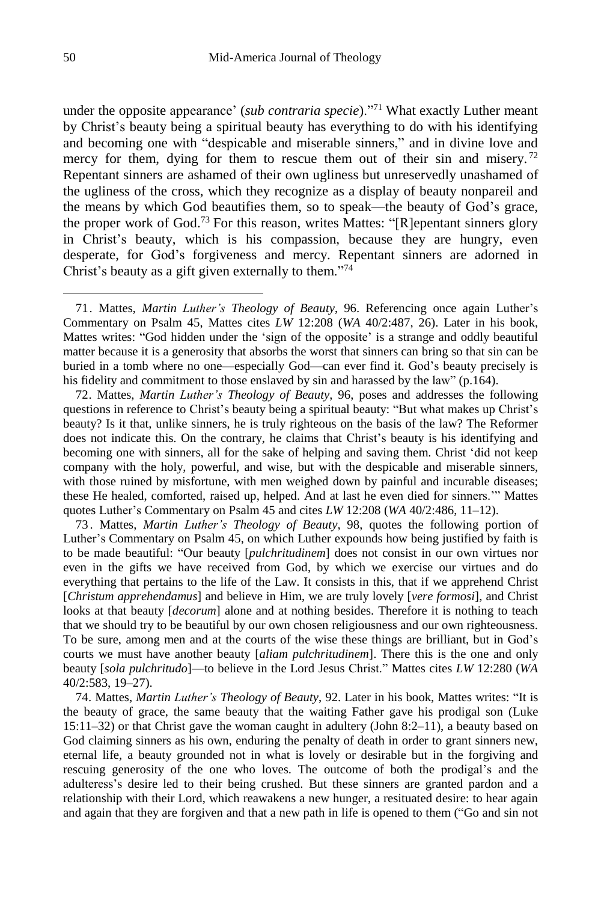under the opposite appearance' (*sub contraria specie*)."<sup>71</sup> What exactly Luther meant by Christ's beauty being a spiritual beauty has everything to do with his identifying and becoming one with "despicable and miserable sinners," and in divine love and mercy for them, dying for them to rescue them out of their sin and misery.<sup>72</sup> Repentant sinners are ashamed of their own ugliness but unreservedly unashamed of the ugliness of the cross, which they recognize as a display of beauty nonpareil and the means by which God beautifies them, so to speak—the beauty of God's grace, the proper work of God.<sup>73</sup> For this reason, writes Mattes: "[R]epentant sinners glory in Christ's beauty, which is his compassion, because they are hungry, even desperate, for God's forgiveness and mercy. Repentant sinners are adorned in Christ's beauty as a gift given externally to them."<sup>74</sup>

72. Mattes, *Martin Luther's Theology of Beauty*, 96, poses and addresses the following questions in reference to Christ's beauty being a spiritual beauty: "But what makes up Christ's beauty? Is it that, unlike sinners, he is truly righteous on the basis of the law? The Reformer does not indicate this. On the contrary, he claims that Christ's beauty is his identifying and becoming one with sinners, all for the sake of helping and saving them. Christ 'did not keep company with the holy, powerful, and wise, but with the despicable and miserable sinners, with those ruined by misfortune, with men weighed down by painful and incurable diseases; these He healed, comforted, raised up, helped. And at last he even died for sinners.'" Mattes quotes Luther's Commentary on Psalm 45 and cites *LW* 12:208 (*WA* 40/2:486, 11–12).

73 . Mattes, *Martin Luther's Theology of Beauty*, 98, quotes the following portion of Luther's Commentary on Psalm 45, on which Luther expounds how being justified by faith is to be made beautiful: "Our beauty [*pulchritudinem*] does not consist in our own virtues nor even in the gifts we have received from God, by which we exercise our virtues and do everything that pertains to the life of the Law. It consists in this, that if we apprehend Christ [*Christum apprehendamus*] and believe in Him, we are truly lovely [*vere formosi*], and Christ looks at that beauty [*decorum*] alone and at nothing besides. Therefore it is nothing to teach that we should try to be beautiful by our own chosen religiousness and our own righteousness. To be sure, among men and at the courts of the wise these things are brilliant, but in God's courts we must have another beauty [*aliam pulchritudinem*]. There this is the one and only beauty [*sola pulchritudo*]—to believe in the Lord Jesus Christ." Mattes cites *LW* 12:280 (*WA* 40/2:583, 19–27).

74. Mattes, *Martin Luther's Theology of Beauty*, 92. Later in his book, Mattes writes: "It is the beauty of grace, the same beauty that the waiting Father gave his prodigal son (Luke 15:11–32) or that Christ gave the woman caught in adultery (John 8:2–11), a beauty based on God claiming sinners as his own, enduring the penalty of death in order to grant sinners new, eternal life, a beauty grounded not in what is lovely or desirable but in the forgiving and rescuing generosity of the one who loves. The outcome of both the prodigal's and the adulteress's desire led to their being crushed. But these sinners are granted pardon and a relationship with their Lord, which reawakens a new hunger, a resituated desire: to hear again and again that they are forgiven and that a new path in life is opened to them ("Go and sin not

<sup>71.</sup> Mattes, *Martin Luther's Theology of Beauty*, 96. Referencing once again Luther's Commentary on Psalm 45, Mattes cites *LW* 12:208 (*WA* 40/2:487, 26). Later in his book, Mattes writes: "God hidden under the 'sign of the opposite' is a strange and oddly beautiful matter because it is a generosity that absorbs the worst that sinners can bring so that sin can be buried in a tomb where no one—especially God—can ever find it. God's beauty precisely is his fidelity and commitment to those enslaved by sin and harassed by the law" (p.164).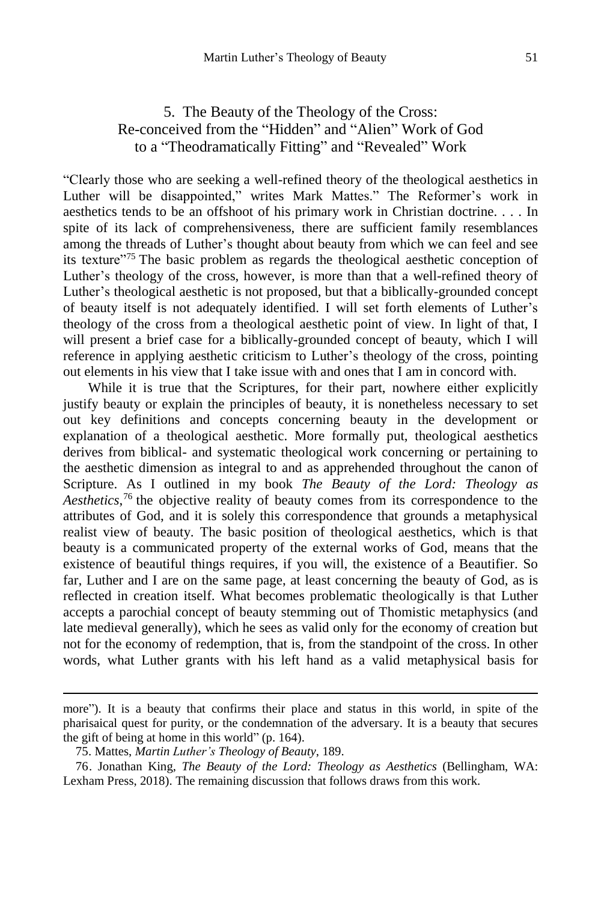# 5. The Beauty of the Theology of the Cross: Re-conceived from the "Hidden" and "Alien" Work of God to a "Theodramatically Fitting" and "Revealed" Work

"Clearly those who are seeking a well-refined theory of the theological aesthetics in Luther will be disappointed," writes Mark Mattes." The Reformer's work in aesthetics tends to be an offshoot of his primary work in Christian doctrine. . . . In spite of its lack of comprehensiveness, there are sufficient family resemblances among the threads of Luther's thought about beauty from which we can feel and see its texture"<sup>75</sup> The basic problem as regards the theological aesthetic conception of Luther's theology of the cross, however, is more than that a well-refined theory of Luther's theological aesthetic is not proposed, but that a biblically-grounded concept of beauty itself is not adequately identified. I will set forth elements of Luther's theology of the cross from a theological aesthetic point of view. In light of that, I will present a brief case for a biblically-grounded concept of beauty, which I will reference in applying aesthetic criticism to Luther's theology of the cross, pointing out elements in his view that I take issue with and ones that I am in concord with.

While it is true that the Scriptures, for their part, nowhere either explicitly justify beauty or explain the principles of beauty, it is nonetheless necessary to set out key definitions and concepts concerning beauty in the development or explanation of a theological aesthetic. More formally put, theological aesthetics derives from biblical- and systematic theological work concerning or pertaining to the aesthetic dimension as integral to and as apprehended throughout the canon of Scripture. As I outlined in my book *The Beauty of the Lord: Theology as Aesthetics*, <sup>76</sup> the objective reality of beauty comes from its correspondence to the attributes of God, and it is solely this correspondence that grounds a metaphysical realist view of beauty. The basic position of theological aesthetics, which is that beauty is a communicated property of the external works of God, means that the existence of beautiful things requires, if you will, the existence of a Beautifier. So far, Luther and I are on the same page, at least concerning the beauty of God, as is reflected in creation itself. What becomes problematic theologically is that Luther accepts a parochial concept of beauty stemming out of Thomistic metaphysics (and late medieval generally), which he sees as valid only for the economy of creation but not for the economy of redemption, that is, from the standpoint of the cross. In other words, what Luther grants with his left hand as a valid metaphysical basis for

more"). It is a beauty that confirms their place and status in this world, in spite of the pharisaical quest for purity, or the condemnation of the adversary. It is a beauty that secures the gift of being at home in this world" (p. 164).

<sup>75.</sup> Mattes, *Martin Luther's Theology of Beauty*, 189.

<sup>76.</sup> Jonathan King, *The Beauty of the Lord: Theology as Aesthetics* (Bellingham, WA: Lexham Press, 2018). The remaining discussion that follows draws from this work.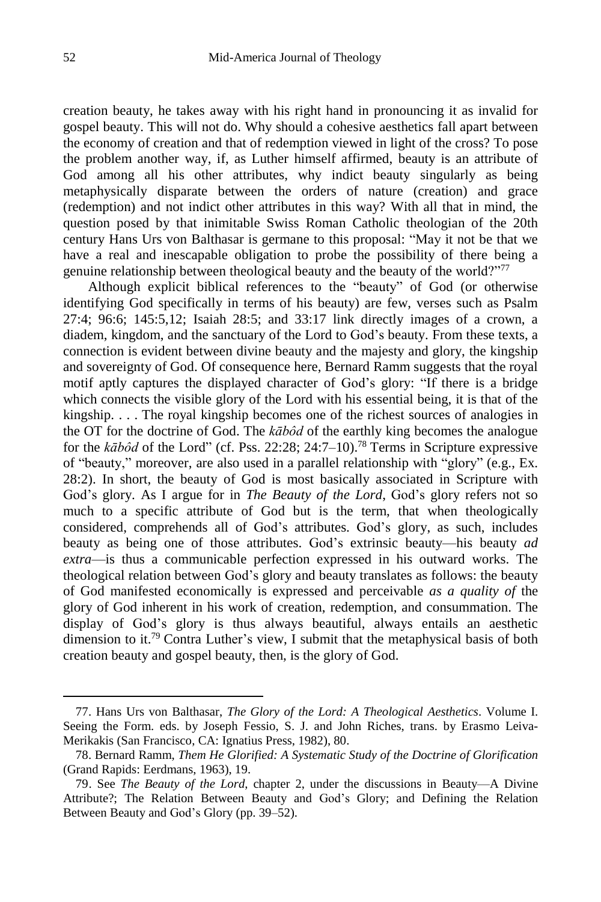creation beauty, he takes away with his right hand in pronouncing it as invalid for gospel beauty. This will not do. Why should a cohesive aesthetics fall apart between the economy of creation and that of redemption viewed in light of the cross? To pose the problem another way, if, as Luther himself affirmed, beauty is an attribute of God among all his other attributes, why indict beauty singularly as being metaphysically disparate between the orders of nature (creation) and grace (redemption) and not indict other attributes in this way? With all that in mind, the question posed by that inimitable Swiss Roman Catholic theologian of the 20th century Hans Urs von Balthasar is germane to this proposal: "May it not be that we have a real and inescapable obligation to probe the possibility of there being a genuine relationship between theological beauty and the beauty of the world?"<sup>77</sup>

Although explicit biblical references to the "beauty" of God (or otherwise identifying God specifically in terms of his beauty) are few, verses such as Psalm 27:4; 96:6; 145:5,12; Isaiah 28:5; and 33:17 link directly images of a crown, a diadem, kingdom, and the sanctuary of the Lord to God's beauty. From these texts, a connection is evident between divine beauty and the majesty and glory, the kingship and sovereignty of God. Of consequence here, Bernard Ramm suggests that the royal motif aptly captures the displayed character of God's glory: "If there is a bridge which connects the visible glory of the Lord with his essential being, it is that of the kingship. . . . The royal kingship becomes one of the richest sources of analogies in the OT for the doctrine of God. The *kābôd* of the earthly king becomes the analogue for the *kābôd* of the Lord" (cf. Pss. 22:28; 24:7–10).<sup>78</sup> Terms in Scripture expressive of "beauty," moreover, are also used in a parallel relationship with "glory" (e.g., Ex. 28:2). In short, the beauty of God is most basically associated in Scripture with God's glory. As I argue for in *The Beauty of the Lord*, God's glory refers not so much to a specific attribute of God but is the term, that when theologically considered, comprehends all of God's attributes. God's glory, as such, includes beauty as being one of those attributes. God's extrinsic beauty—his beauty *ad extra*—is thus a communicable perfection expressed in his outward works. The theological relation between God's glory and beauty translates as follows: the beauty of God manifested economically is expressed and perceivable *as a quality of* the glory of God inherent in his work of creation, redemption, and consummation. The display of God's glory is thus always beautiful, always entails an aesthetic dimension to it.<sup>79</sup> Contra Luther's view, I submit that the metaphysical basis of both creation beauty and gospel beauty, then, is the glory of God.

<sup>77.</sup> Hans Urs von Balthasar, *The Glory of the Lord: A Theological Aesthetics*. Volume I. Seeing the Form. eds. by Joseph Fessio, S. J. and John Riches, trans. by Erasmo Leiva-Merikakis (San Francisco, CA: Ignatius Press, 1982), 80.

<sup>78.</sup> Bernard Ramm, *Them He Glorified: A Systematic Study of the Doctrine of Glorification* (Grand Rapids: Eerdmans, 1963), 19.

<sup>79.</sup> See *The Beauty of the Lord*, chapter 2, under the discussions in Beauty—A Divine Attribute?; The Relation Between Beauty and God's Glory; and Defining the Relation Between Beauty and God's Glory (pp. 39–52).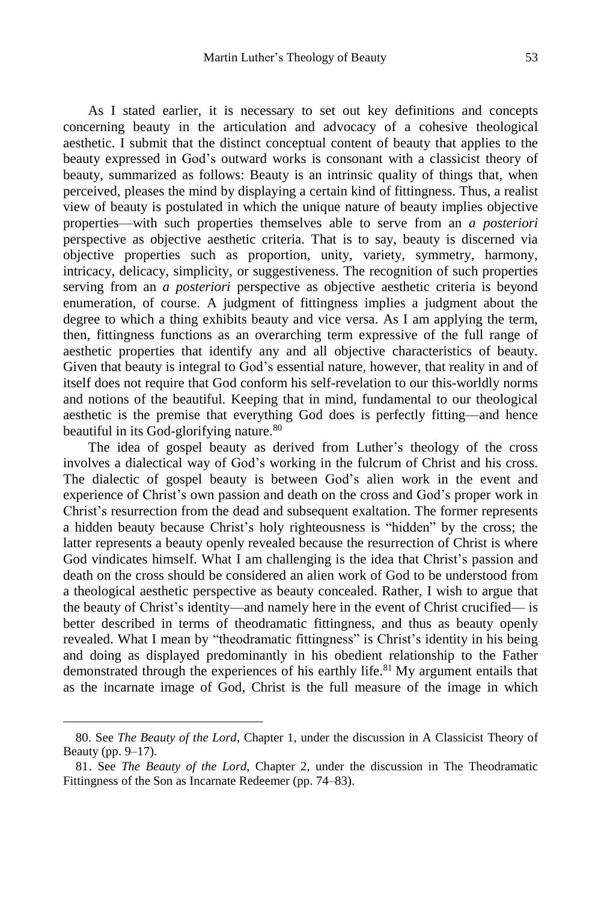As I stated earlier, it is necessary to set out key definitions and concepts concerning beauty in the articulation and advocacy of a cohesive theological aesthetic. I submit that the distinct conceptual content of beauty that applies to the beauty expressed in God's outward works is consonant with a classicist theory of beauty, summarized as follows: Beauty is an intrinsic quality of things that, when perceived, pleases the mind by displaying a certain kind of fittingness. Thus, a realist view of beauty is postulated in which the unique nature of beauty implies objective properties—with such properties themselves able to serve from an *a posteriori* perspective as objective aesthetic criteria. That is to say, beauty is discerned via objective properties such as proportion, unity, variety, symmetry, harmony, intricacy, delicacy, simplicity, or suggestiveness. The recognition of such properties serving from an *a posteriori* perspective as objective aesthetic criteria is beyond enumeration, of course. A judgment of fittingness implies a judgment about the degree to which a thing exhibits beauty and vice versa. As I am applying the term, then, fittingness functions as an overarching term expressive of the full range of aesthetic properties that identify any and all objective characteristics of beauty. Given that beauty is integral to God's essential nature, however, that reality in and of itself does not require that God conform his self-revelation to our this-worldly norms and notions of the beautiful. Keeping that in mind, fundamental to our theological aesthetic is the premise that everything God does is perfectly fitting—and hence beautiful in its God-glorifying nature.<sup>80</sup>

The idea of gospel beauty as derived from Luther's theology of the cross involves a dialectical way of God's working in the fulcrum of Christ and his cross. The dialectic of gospel beauty is between God's alien work in the event and experience of Christ's own passion and death on the cross and God's proper work in Christ's resurrection from the dead and subsequent exaltation. The former represents a hidden beauty because Christ's holy righteousness is "hidden" by the cross; the latter represents a beauty openly revealed because the resurrection of Christ is where God vindicates himself. What I am challenging is the idea that Christ's passion and death on the cross should be considered an alien work of God to be understood from a theological aesthetic perspective as beauty concealed. Rather, I wish to argue that the beauty of Christ's identity—and namely here in the event of Christ crucified— is better described in terms of theodramatic fittingness, and thus as beauty openly revealed. What I mean by "theodramatic fittingness" is Christ's identity in his being and doing as displayed predominantly in his obedient relationship to the Father demonstrated through the experiences of his earthly life.<sup>81</sup> My argument entails that as the incarnate image of God, Christ is the full measure of the image in which

<sup>80.</sup> See *The Beauty of the Lord*, Chapter 1, under the discussion in A Classicist Theory of Beauty (pp. 9–17).

<sup>81.</sup> See *The Beauty of the Lord*, Chapter 2, under the discussion in The Theodramatic Fittingness of the Son as Incarnate Redeemer (pp. 74–83).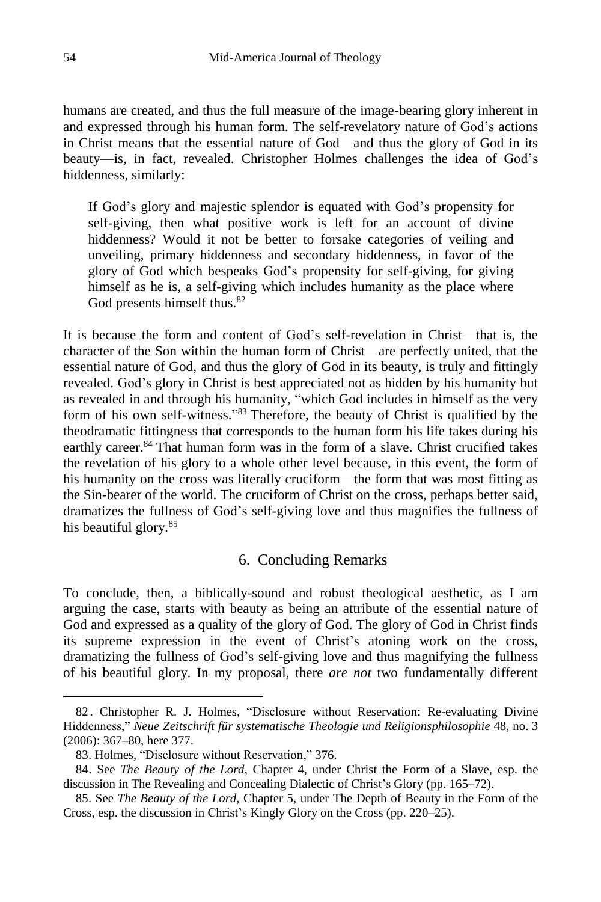humans are created, and thus the full measure of the image-bearing glory inherent in and expressed through his human form. The self-revelatory nature of God's actions in Christ means that the essential nature of God—and thus the glory of God in its beauty—is, in fact, revealed. Christopher Holmes challenges the idea of God's hiddenness, similarly:

If God's glory and majestic splendor is equated with God's propensity for self-giving, then what positive work is left for an account of divine hiddenness? Would it not be better to forsake categories of veiling and unveiling, primary hiddenness and secondary hiddenness, in favor of the glory of God which bespeaks God's propensity for self-giving, for giving himself as he is, a self-giving which includes humanity as the place where God presents himself thus.<sup>82</sup>

It is because the form and content of God's self-revelation in Christ—that is, the character of the Son within the human form of Christ—are perfectly united, that the essential nature of God, and thus the glory of God in its beauty, is truly and fittingly revealed. God's glory in Christ is best appreciated not as hidden by his humanity but as revealed in and through his humanity, "which God includes in himself as the very form of his own self-witness." <sup>83</sup> Therefore, the beauty of Christ is qualified by the theodramatic fittingness that corresponds to the human form his life takes during his earthly career.<sup>84</sup> That human form was in the form of a slave. Christ crucified takes the revelation of his glory to a whole other level because, in this event, the form of his humanity on the cross was literally cruciform—the form that was most fitting as the Sin-bearer of the world. The cruciform of Christ on the cross, perhaps better said, dramatizes the fullness of God's self-giving love and thus magnifies the fullness of his beautiful glory.<sup>85</sup>

#### 6. Concluding Remarks

To conclude, then, a biblically-sound and robust theological aesthetic, as I am arguing the case, starts with beauty as being an attribute of the essential nature of God and expressed as a quality of the glory of God. The glory of God in Christ finds its supreme expression in the event of Christ's atoning work on the cross, dramatizing the fullness of God's self-giving love and thus magnifying the fullness of his beautiful glory. In my proposal, there *are not* two fundamentally different

<sup>82</sup> . Christopher R. J. Holmes, "Disclosure without Reservation: Re-evaluating Divine Hiddenness," *Neue Zeitschrift für systematische Theologie und Religionsphilosophie* 48, no. 3 (2006): 367–80, here 377.

<sup>83.</sup> Holmes, "Disclosure without Reservation," 376.

<sup>84.</sup> See *The Beauty of the Lord*, Chapter 4, under Christ the Form of a Slave, esp. the discussion in The Revealing and Concealing Dialectic of Christ's Glory (pp. 165–72).

<sup>85.</sup> See *The Beauty of the Lord*, Chapter 5, under The Depth of Beauty in the Form of the Cross, esp. the discussion in Christ's Kingly Glory on the Cross (pp. 220–25).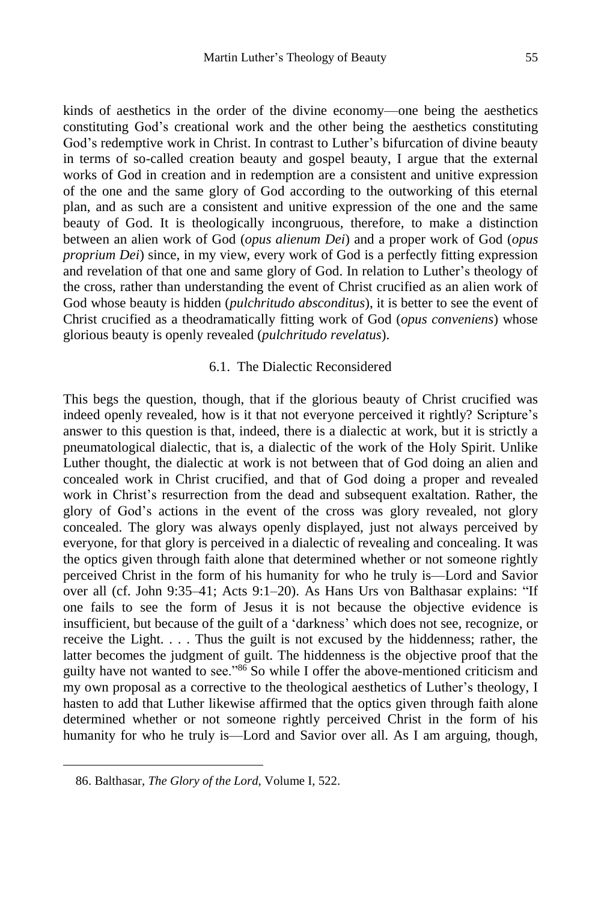kinds of aesthetics in the order of the divine economy—one being the aesthetics constituting God's creational work and the other being the aesthetics constituting God's redemptive work in Christ. In contrast to Luther's bifurcation of divine beauty in terms of so-called creation beauty and gospel beauty, I argue that the external works of God in creation and in redemption are a consistent and unitive expression of the one and the same glory of God according to the outworking of this eternal plan, and as such are a consistent and unitive expression of the one and the same beauty of God. It is theologically incongruous, therefore, to make a distinction between an alien work of God (*opus alienum Dei*) and a proper work of God (*opus proprium Dei*) since, in my view, every work of God is a perfectly fitting expression and revelation of that one and same glory of God. In relation to Luther's theology of the cross, rather than understanding the event of Christ crucified as an alien work of God whose beauty is hidden (*pulchritudo absconditus*), it is better to see the event of Christ crucified as a theodramatically fitting work of God (*opus conveniens*) whose glorious beauty is openly revealed (*pulchritudo revelatus*).

#### 6.1. The Dialectic Reconsidered

This begs the question, though, that if the glorious beauty of Christ crucified was indeed openly revealed, how is it that not everyone perceived it rightly? Scripture's answer to this question is that, indeed, there is a dialectic at work, but it is strictly a pneumatological dialectic, that is, a dialectic of the work of the Holy Spirit. Unlike Luther thought, the dialectic at work is not between that of God doing an alien and concealed work in Christ crucified, and that of God doing a proper and revealed work in Christ's resurrection from the dead and subsequent exaltation. Rather, the glory of God's actions in the event of the cross was glory revealed, not glory concealed. The glory was always openly displayed, just not always perceived by everyone, for that glory is perceived in a dialectic of revealing and concealing. It was the optics given through faith alone that determined whether or not someone rightly perceived Christ in the form of his humanity for who he truly is—Lord and Savior over all (cf. John 9:35–41; Acts 9:1–20). As Hans Urs von Balthasar explains: "If one fails to see the form of Jesus it is not because the objective evidence is insufficient, but because of the guilt of a 'darkness' which does not see, recognize, or receive the Light. . . . Thus the guilt is not excused by the hiddenness; rather, the latter becomes the judgment of guilt. The hiddenness is the objective proof that the guilty have not wanted to see."<sup>86</sup> So while I offer the above-mentioned criticism and my own proposal as a corrective to the theological aesthetics of Luther's theology, I hasten to add that Luther likewise affirmed that the optics given through faith alone determined whether or not someone rightly perceived Christ in the form of his humanity for who he truly is—Lord and Savior over all. As I am arguing, though,

<sup>86.</sup> Balthasar, *The Glory of the Lord*, Volume I, 522.